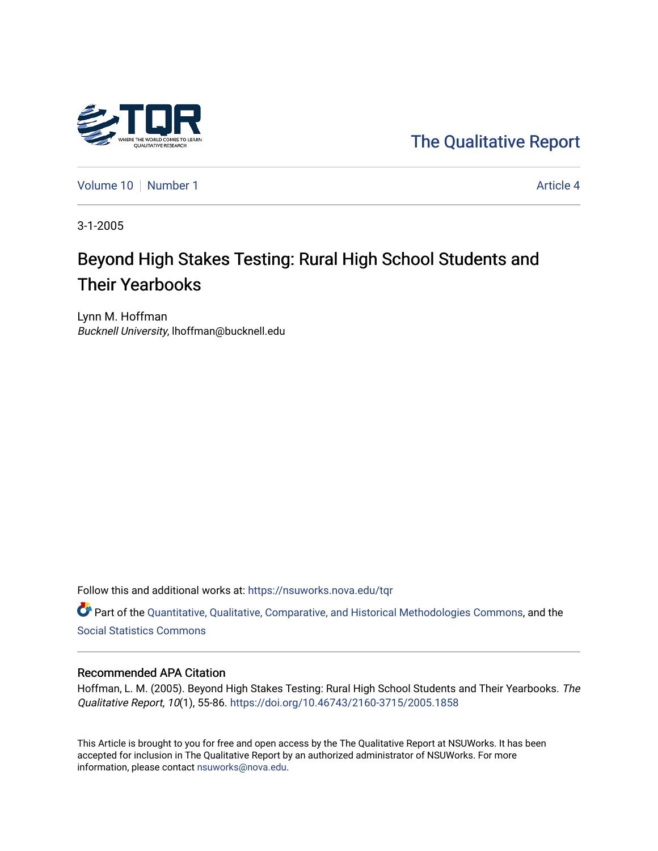

[The Qualitative Report](https://nsuworks.nova.edu/tqr) 

[Volume 10](https://nsuworks.nova.edu/tqr/vol10) [Number 1](https://nsuworks.nova.edu/tqr/vol10/iss1) Article 4

3-1-2005

# Beyond High Stakes Testing: Rural High School Students and Their Yearbooks

Lynn M. Hoffman Bucknell University, lhoffman@bucknell.edu

Follow this and additional works at: [https://nsuworks.nova.edu/tqr](https://nsuworks.nova.edu/tqr?utm_source=nsuworks.nova.edu%2Ftqr%2Fvol10%2Fiss1%2F4&utm_medium=PDF&utm_campaign=PDFCoverPages) 

Part of the [Quantitative, Qualitative, Comparative, and Historical Methodologies Commons,](http://network.bepress.com/hgg/discipline/423?utm_source=nsuworks.nova.edu%2Ftqr%2Fvol10%2Fiss1%2F4&utm_medium=PDF&utm_campaign=PDFCoverPages) and the [Social Statistics Commons](http://network.bepress.com/hgg/discipline/1275?utm_source=nsuworks.nova.edu%2Ftqr%2Fvol10%2Fiss1%2F4&utm_medium=PDF&utm_campaign=PDFCoverPages) 

## Recommended APA Citation

Hoffman, L. M. (2005). Beyond High Stakes Testing: Rural High School Students and Their Yearbooks. The Qualitative Report, 10(1), 55-86.<https://doi.org/10.46743/2160-3715/2005.1858>

This Article is brought to you for free and open access by the The Qualitative Report at NSUWorks. It has been accepted for inclusion in The Qualitative Report by an authorized administrator of NSUWorks. For more information, please contact [nsuworks@nova.edu.](mailto:nsuworks@nova.edu)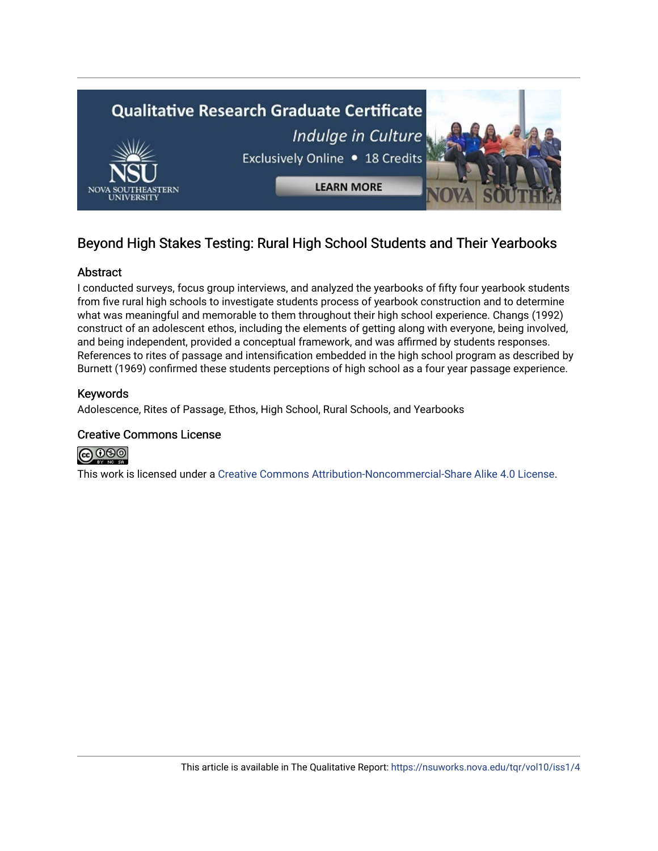

## Beyond High Stakes Testing: Rural High School Students and Their Yearbooks

## Abstract

I conducted surveys, focus group interviews, and analyzed the yearbooks of fifty four yearbook students from five rural high schools to investigate students process of yearbook construction and to determine what was meaningful and memorable to them throughout their high school experience. Changs (1992) construct of an adolescent ethos, including the elements of getting along with everyone, being involved, and being independent, provided a conceptual framework, and was affirmed by students responses. References to rites of passage and intensification embedded in the high school program as described by Burnett (1969) confirmed these students perceptions of high school as a four year passage experience.

## Keywords

Adolescence, Rites of Passage, Ethos, High School, Rural Schools, and Yearbooks

## Creative Commons License



This work is licensed under a [Creative Commons Attribution-Noncommercial-Share Alike 4.0 License](https://creativecommons.org/licenses/by-nc-sa/4.0/).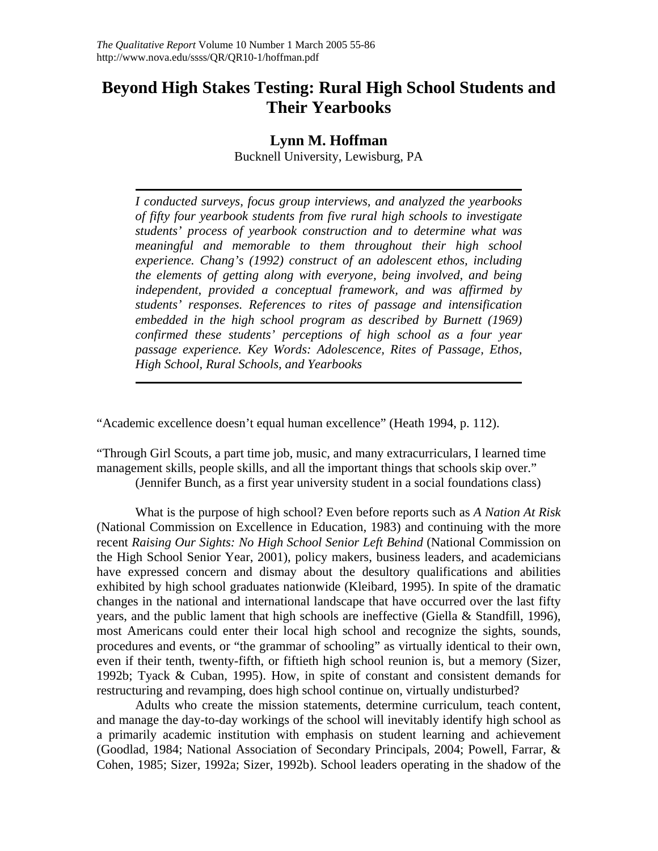## **Beyond High Stakes Testing: Rural High School Students and Their Yearbooks**

## **Lynn M. Hoffman**

Bucknell University, Lewisburg, PA

*I conducted surveys, focus group interviews, and analyzed the yearbooks of fifty four yearbook students from five rural high schools to investigate students' process of yearbook construction and to determine what was meaningful and memorable to them throughout their high school experience. Chang's (1992) construct of an adolescent ethos, including the elements of getting along with everyone, being involved, and being independent, provided a conceptual framework, and was affirmed by students' responses. References to rites of passage and intensification embedded in the high school program as described by Burnett (1969) confirmed these students' perceptions of high school as a four year passage experience. Key Words: Adolescence, Rites of Passage, Ethos, High School, Rural Schools, and Yearbooks* 

"Academic excellence doesn't equal human excellence" (Heath 1994, p. 112).

"Through Girl Scouts, a part time job, music, and many extracurriculars, I learned time management skills, people skills, and all the important things that schools skip over."

(Jennifer Bunch, as a first year university student in a social foundations class)

What is the purpose of high school? Even before reports such as *A Nation At Risk* (National Commission on Excellence in Education, 1983) and continuing with the more recent *Raising Our Sights: No High School Senior Left Behind* (National Commission on the High School Senior Year, 2001), policy makers, business leaders, and academicians have expressed concern and dismay about the desultory qualifications and abilities exhibited by high school graduates nationwide (Kleibard, 1995). In spite of the dramatic changes in the national and international landscape that have occurred over the last fifty years, and the public lament that high schools are ineffective (Giella & Standfill, 1996), most Americans could enter their local high school and recognize the sights, sounds, procedures and events, or "the grammar of schooling" as virtually identical to their own, even if their tenth, twenty-fifth, or fiftieth high school reunion is, but a memory (Sizer, 1992b; Tyack & Cuban, 1995). How, in spite of constant and consistent demands for restructuring and revamping, does high school continue on, virtually undisturbed?

Adults who create the mission statements, determine curriculum, teach content, and manage the day-to-day workings of the school will inevitably identify high school as a primarily academic institution with emphasis on student learning and achievement (Goodlad, 1984; National Association of Secondary Principals, 2004; Powell, Farrar, & Cohen, 1985; Sizer, 1992a; Sizer, 1992b). School leaders operating in the shadow of the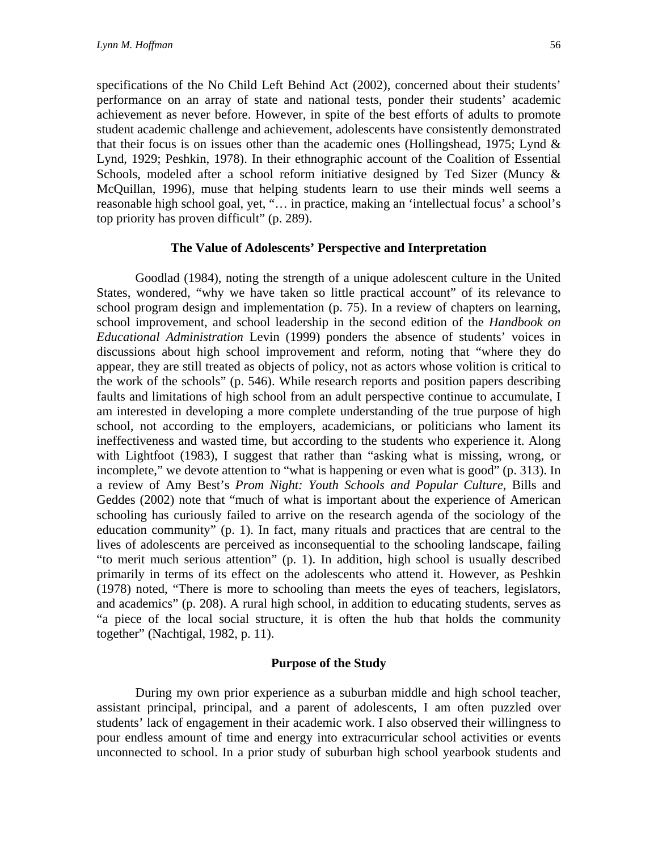specifications of the No Child Left Behind Act (2002), concerned about their students' performance on an array of state and national tests, ponder their students' academic achievement as never before. However, in spite of the best efforts of adults to promote student academic challenge and achievement, adolescents have consistently demonstrated that their focus is on issues other than the academic ones (Hollingshead, 1975; Lynd  $\&$ Lynd, 1929; Peshkin, 1978). In their ethnographic account of the Coalition of Essential Schools, modeled after a school reform initiative designed by Ted Sizer (Muncy & McQuillan, 1996), muse that helping students learn to use their minds well seems a reasonable high school goal, yet, "… in practice, making an 'intellectual focus' a school's top priority has proven difficult" (p. 289).

## **The Value of Adolescents' Perspective and Interpretation**

Goodlad (1984), noting the strength of a unique adolescent culture in the United States, wondered, "why we have taken so little practical account" of its relevance to school program design and implementation (p. 75). In a review of chapters on learning, school improvement, and school leadership in the second edition of the *Handbook on Educational Administration* Levin (1999) ponders the absence of students' voices in discussions about high school improvement and reform, noting that "where they do appear, they are still treated as objects of policy, not as actors whose volition is critical to the work of the schools" (p. 546). While research reports and position papers describing faults and limitations of high school from an adult perspective continue to accumulate, I am interested in developing a more complete understanding of the true purpose of high school, not according to the employers, academicians, or politicians who lament its ineffectiveness and wasted time, but according to the students who experience it. Along with Lightfoot (1983), I suggest that rather than "asking what is missing, wrong, or incomplete," we devote attention to "what is happening or even what is good" (p. 313). In a review of Amy Best's *Prom Night: Youth Schools and Popular Culture*, Bills and Geddes (2002) note that "much of what is important about the experience of American schooling has curiously failed to arrive on the research agenda of the sociology of the education community" (p. 1). In fact, many rituals and practices that are central to the lives of adolescents are perceived as inconsequential to the schooling landscape, failing "to merit much serious attention" (p. 1). In addition, high school is usually described primarily in terms of its effect on the adolescents who attend it. However, as Peshkin (1978) noted, "There is more to schooling than meets the eyes of teachers, legislators, and academics" (p. 208). A rural high school, in addition to educating students, serves as "a piece of the local social structure, it is often the hub that holds the community together" (Nachtigal, 1982, p. 11).

## **Purpose of the Study**

During my own prior experience as a suburban middle and high school teacher, assistant principal, principal, and a parent of adolescents, I am often puzzled over students' lack of engagement in their academic work. I also observed their willingness to pour endless amount of time and energy into extracurricular school activities or events unconnected to school. In a prior study of suburban high school yearbook students and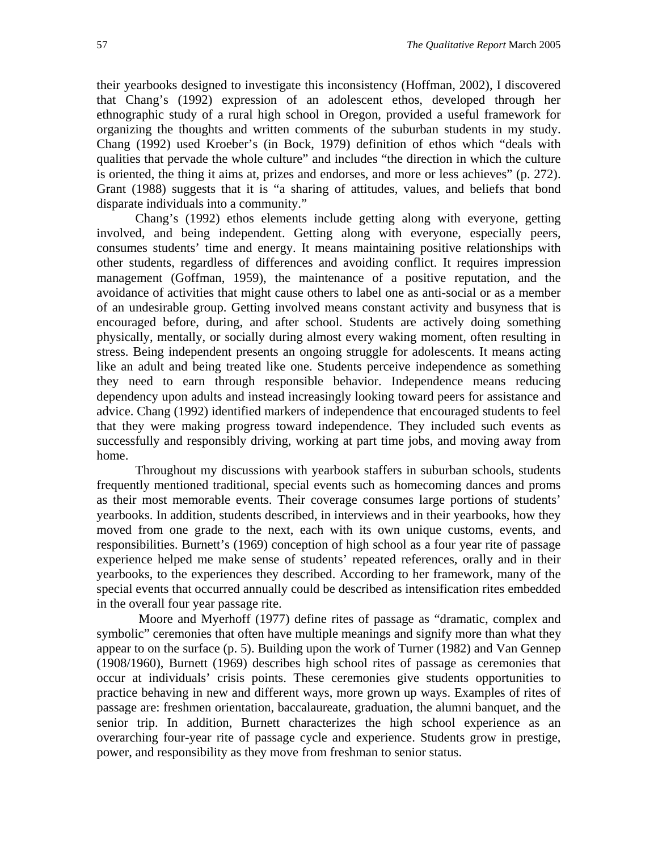their yearbooks designed to investigate this inconsistency (Hoffman, 2002), I discovered that Chang's (1992) expression of an adolescent ethos, developed through her ethnographic study of a rural high school in Oregon, provided a useful framework for organizing the thoughts and written comments of the suburban students in my study. Chang (1992) used Kroeber's (in Bock, 1979) definition of ethos which "deals with qualities that pervade the whole culture" and includes "the direction in which the culture is oriented, the thing it aims at, prizes and endorses, and more or less achieves" (p. 272). Grant (1988) suggests that it is "a sharing of attitudes, values, and beliefs that bond disparate individuals into a community."

Chang's (1992) ethos elements include getting along with everyone, getting involved, and being independent. Getting along with everyone, especially peers, consumes students' time and energy. It means maintaining positive relationships with other students, regardless of differences and avoiding conflict. It requires impression management (Goffman, 1959), the maintenance of a positive reputation, and the avoidance of activities that might cause others to label one as anti-social or as a member of an undesirable group. Getting involved means constant activity and busyness that is encouraged before, during, and after school. Students are actively doing something physically, mentally, or socially during almost every waking moment, often resulting in stress. Being independent presents an ongoing struggle for adolescents. It means acting like an adult and being treated like one. Students perceive independence as something they need to earn through responsible behavior. Independence means reducing dependency upon adults and instead increasingly looking toward peers for assistance and advice. Chang (1992) identified markers of independence that encouraged students to feel that they were making progress toward independence. They included such events as successfully and responsibly driving, working at part time jobs, and moving away from home.

Throughout my discussions with yearbook staffers in suburban schools, students frequently mentioned traditional, special events such as homecoming dances and proms as their most memorable events. Their coverage consumes large portions of students' yearbooks. In addition, students described, in interviews and in their yearbooks, how they moved from one grade to the next, each with its own unique customs, events, and responsibilities. Burnett's (1969) conception of high school as a four year rite of passage experience helped me make sense of students' repeated references, orally and in their yearbooks, to the experiences they described. According to her framework, many of the special events that occurred annually could be described as intensification rites embedded in the overall four year passage rite.

Moore and Myerhoff (1977) define rites of passage as "dramatic, complex and symbolic" ceremonies that often have multiple meanings and signify more than what they appear to on the surface (p. 5). Building upon the work of Turner (1982) and Van Gennep (1908/1960), Burnett (1969) describes high school rites of passage as ceremonies that occur at individuals' crisis points. These ceremonies give students opportunities to practice behaving in new and different ways, more grown up ways. Examples of rites of passage are: freshmen orientation, baccalaureate, graduation, the alumni banquet, and the senior trip. In addition, Burnett characterizes the high school experience as an overarching four-year rite of passage cycle and experience. Students grow in prestige, power, and responsibility as they move from freshman to senior status.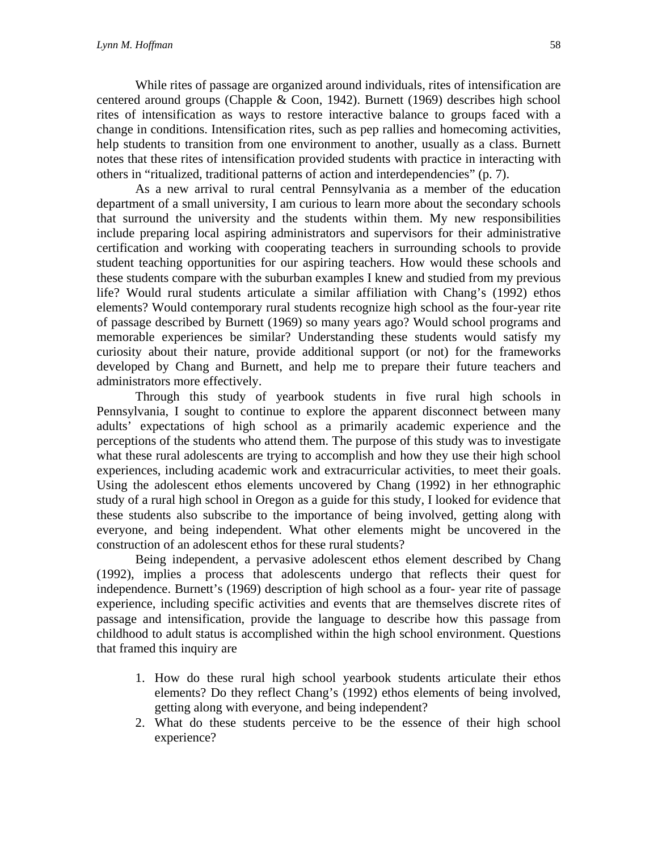While rites of passage are organized around individuals, rites of intensification are centered around groups (Chapple & Coon, 1942). Burnett (1969) describes high school rites of intensification as ways to restore interactive balance to groups faced with a change in conditions. Intensification rites, such as pep rallies and homecoming activities, help students to transition from one environment to another, usually as a class. Burnett notes that these rites of intensification provided students with practice in interacting with others in "ritualized, traditional patterns of action and interdependencies" (p. 7).

As a new arrival to rural central Pennsylvania as a member of the education department of a small university, I am curious to learn more about the secondary schools that surround the university and the students within them. My new responsibilities include preparing local aspiring administrators and supervisors for their administrative certification and working with cooperating teachers in surrounding schools to provide student teaching opportunities for our aspiring teachers. How would these schools and these students compare with the suburban examples I knew and studied from my previous life? Would rural students articulate a similar affiliation with Chang's (1992) ethos elements? Would contemporary rural students recognize high school as the four-year rite of passage described by Burnett (1969) so many years ago? Would school programs and memorable experiences be similar? Understanding these students would satisfy my curiosity about their nature, provide additional support (or not) for the frameworks developed by Chang and Burnett, and help me to prepare their future teachers and administrators more effectively.

Through this study of yearbook students in five rural high schools in Pennsylvania, I sought to continue to explore the apparent disconnect between many adults' expectations of high school as a primarily academic experience and the perceptions of the students who attend them. The purpose of this study was to investigate what these rural adolescents are trying to accomplish and how they use their high school experiences, including academic work and extracurricular activities, to meet their goals. Using the adolescent ethos elements uncovered by Chang (1992) in her ethnographic study of a rural high school in Oregon as a guide for this study, I looked for evidence that these students also subscribe to the importance of being involved, getting along with everyone, and being independent. What other elements might be uncovered in the construction of an adolescent ethos for these rural students?

Being independent, a pervasive adolescent ethos element described by Chang (1992), implies a process that adolescents undergo that reflects their quest for independence. Burnett's (1969) description of high school as a four- year rite of passage experience, including specific activities and events that are themselves discrete rites of passage and intensification, provide the language to describe how this passage from childhood to adult status is accomplished within the high school environment. Questions that framed this inquiry are

- 1. How do these rural high school yearbook students articulate their ethos elements? Do they reflect Chang's (1992) ethos elements of being involved, getting along with everyone, and being independent?
- 2. What do these students perceive to be the essence of their high school experience?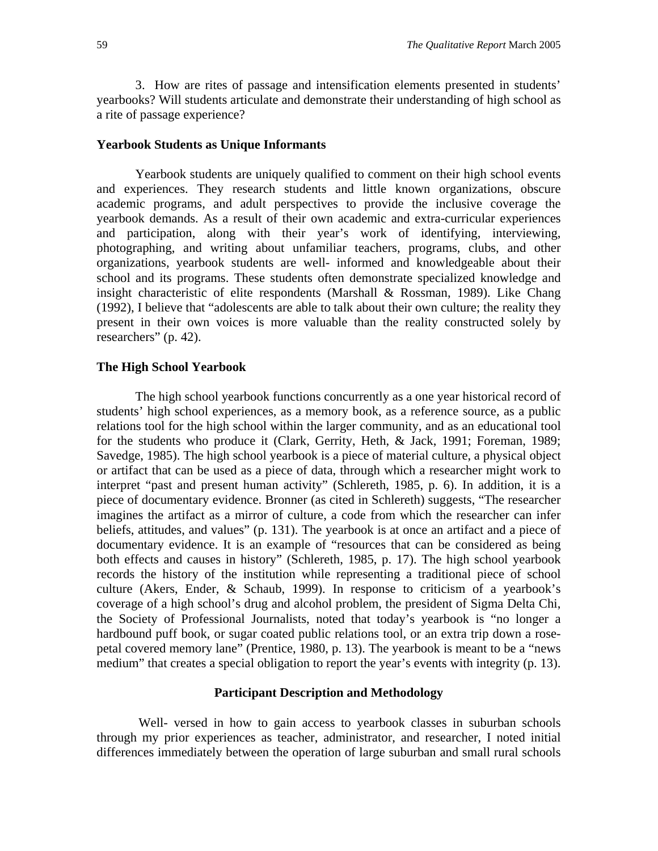3. How are rites of passage and intensification elements presented in students' yearbooks? Will students articulate and demonstrate their understanding of high school as a rite of passage experience?

#### **Yearbook Students as Unique Informants**

Yearbook students are uniquely qualified to comment on their high school events and experiences. They research students and little known organizations, obscure academic programs, and adult perspectives to provide the inclusive coverage the yearbook demands. As a result of their own academic and extra-curricular experiences and participation, along with their year's work of identifying, interviewing, photographing, and writing about unfamiliar teachers, programs, clubs, and other organizations, yearbook students are well- informed and knowledgeable about their school and its programs. These students often demonstrate specialized knowledge and insight characteristic of elite respondents (Marshall & Rossman, 1989). Like Chang (1992), I believe that "adolescents are able to talk about their own culture; the reality they present in their own voices is more valuable than the reality constructed solely by researchers" (p. 42).

## **The High School Yearbook**

The high school yearbook functions concurrently as a one year historical record of students' high school experiences, as a memory book, as a reference source, as a public relations tool for the high school within the larger community, and as an educational tool for the students who produce it (Clark, Gerrity, Heth, & Jack, 1991; Foreman, 1989; Savedge, 1985). The high school yearbook is a piece of material culture, a physical object or artifact that can be used as a piece of data, through which a researcher might work to interpret "past and present human activity" (Schlereth, 1985, p. 6). In addition, it is a piece of documentary evidence. Bronner (as cited in Schlereth) suggests, "The researcher imagines the artifact as a mirror of culture, a code from which the researcher can infer beliefs, attitudes, and values" (p. 131). The yearbook is at once an artifact and a piece of documentary evidence. It is an example of "resources that can be considered as being both effects and causes in history" (Schlereth, 1985, p. 17). The high school yearbook records the history of the institution while representing a traditional piece of school culture (Akers, Ender, & Schaub, 1999). In response to criticism of a yearbook's coverage of a high school's drug and alcohol problem, the president of Sigma Delta Chi, the Society of Professional Journalists, noted that today's yearbook is "no longer a hardbound puff book, or sugar coated public relations tool, or an extra trip down a rosepetal covered memory lane" (Prentice, 1980, p. 13). The yearbook is meant to be a "news medium" that creates a special obligation to report the year's events with integrity (p. 13).

#### **Participant Description and Methodology**

Well- versed in how to gain access to yearbook classes in suburban schools through my prior experiences as teacher, administrator, and researcher, I noted initial differences immediately between the operation of large suburban and small rural schools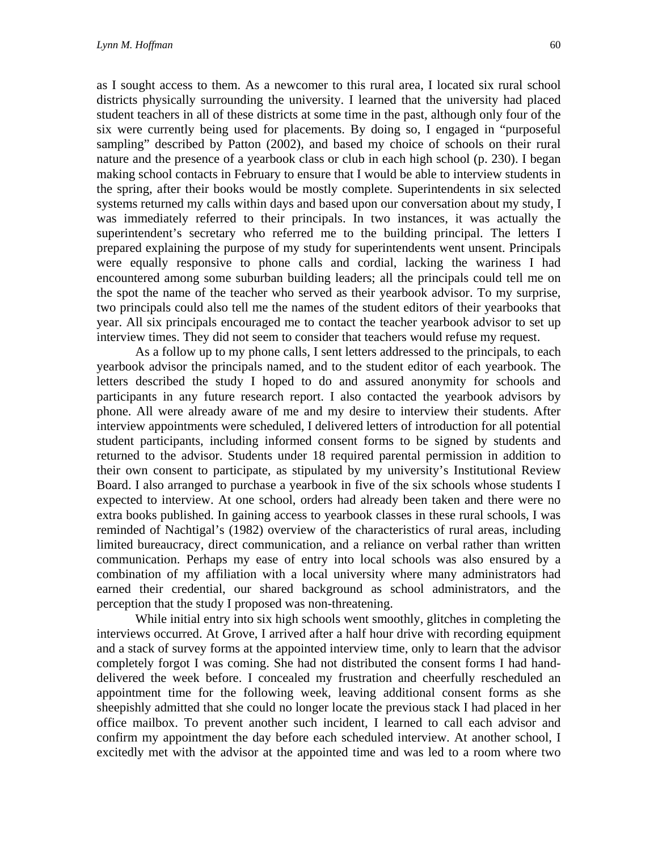as I sought access to them. As a newcomer to this rural area, I located six rural school districts physically surrounding the university. I learned that the university had placed student teachers in all of these districts at some time in the past, although only four of the six were currently being used for placements. By doing so, I engaged in "purposeful sampling" described by Patton (2002), and based my choice of schools on their rural nature and the presence of a yearbook class or club in each high school (p. 230). I began making school contacts in February to ensure that I would be able to interview students in the spring, after their books would be mostly complete. Superintendents in six selected systems returned my calls within days and based upon our conversation about my study, I was immediately referred to their principals. In two instances, it was actually the superintendent's secretary who referred me to the building principal. The letters I prepared explaining the purpose of my study for superintendents went unsent. Principals were equally responsive to phone calls and cordial, lacking the wariness I had encountered among some suburban building leaders; all the principals could tell me on the spot the name of the teacher who served as their yearbook advisor. To my surprise, two principals could also tell me the names of the student editors of their yearbooks that year. All six principals encouraged me to contact the teacher yearbook advisor to set up interview times. They did not seem to consider that teachers would refuse my request.

As a follow up to my phone calls, I sent letters addressed to the principals, to each yearbook advisor the principals named, and to the student editor of each yearbook. The letters described the study I hoped to do and assured anonymity for schools and participants in any future research report. I also contacted the yearbook advisors by phone. All were already aware of me and my desire to interview their students. After interview appointments were scheduled, I delivered letters of introduction for all potential student participants, including informed consent forms to be signed by students and returned to the advisor. Students under 18 required parental permission in addition to their own consent to participate, as stipulated by my university's Institutional Review Board. I also arranged to purchase a yearbook in five of the six schools whose students I expected to interview. At one school, orders had already been taken and there were no extra books published. In gaining access to yearbook classes in these rural schools, I was reminded of Nachtigal's (1982) overview of the characteristics of rural areas, including limited bureaucracy, direct communication, and a reliance on verbal rather than written communication. Perhaps my ease of entry into local schools was also ensured by a combination of my affiliation with a local university where many administrators had earned their credential, our shared background as school administrators, and the perception that the study I proposed was non-threatening.

While initial entry into six high schools went smoothly, glitches in completing the interviews occurred. At Grove, I arrived after a half hour drive with recording equipment and a stack of survey forms at the appointed interview time, only to learn that the advisor completely forgot I was coming. She had not distributed the consent forms I had handdelivered the week before. I concealed my frustration and cheerfully rescheduled an appointment time for the following week, leaving additional consent forms as she sheepishly admitted that she could no longer locate the previous stack I had placed in her office mailbox. To prevent another such incident, I learned to call each advisor and confirm my appointment the day before each scheduled interview. At another school, I excitedly met with the advisor at the appointed time and was led to a room where two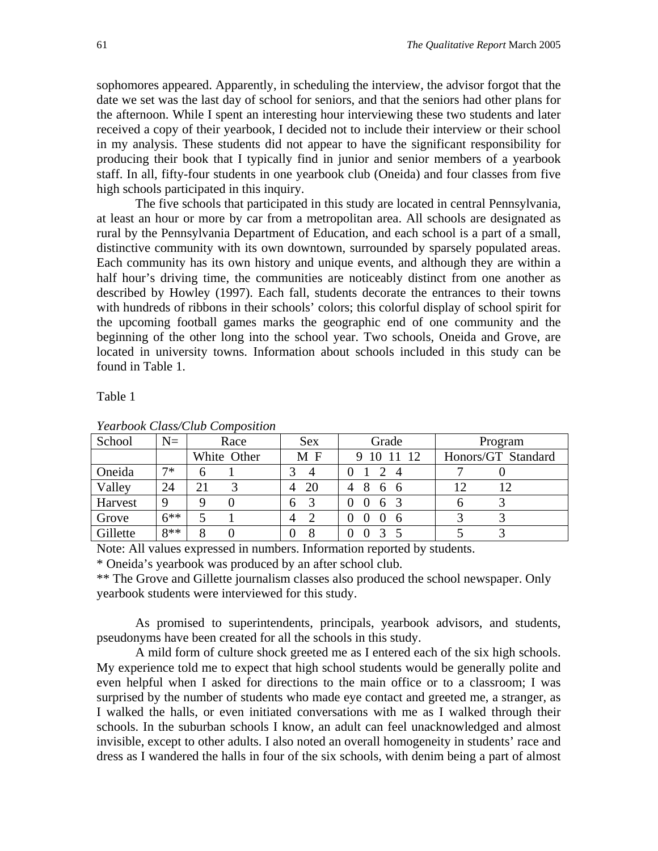sophomores appeared. Apparently, in scheduling the interview, the advisor forgot that the date we set was the last day of school for seniors, and that the seniors had other plans for the afternoon. While I spent an interesting hour interviewing these two students and later received a copy of their yearbook, I decided not to include their interview or their school in my analysis. These students did not appear to have the significant responsibility for producing their book that I typically find in junior and senior members of a yearbook staff. In all, fifty-four students in one yearbook club (Oneida) and four classes from five high schools participated in this inquiry.

The five schools that participated in this study are located in central Pennsylvania, at least an hour or more by car from a metropolitan area. All schools are designated as rural by the Pennsylvania Department of Education, and each school is a part of a small, distinctive community with its own downtown, surrounded by sparsely populated areas. Each community has its own history and unique events, and although they are within a half hour's driving time, the communities are noticeably distinct from one another as described by Howley (1997). Each fall, students decorate the entrances to their towns with hundreds of ribbons in their schools' colors; this colorful display of school spirit for the upcoming football games marks the geographic end of one community and the beginning of the other long into the school year. Two schools, Oneida and Grove, are located in university towns. Information about schools included in this study can be found in Table 1.

Table 1

| Tearbook Class Clab Composition |        |    |             |                               |                         |         |                    |  |
|---------------------------------|--------|----|-------------|-------------------------------|-------------------------|---------|--------------------|--|
| School                          | $N =$  |    | Race        | <b>Sex</b>                    | Grade                   | Program |                    |  |
|                                 |        |    | White Other | МF                            | $\overline{12}$<br>9 10 |         | Honors/GT Standard |  |
| Oneida                          | $7*$   |    |             | $\overline{4}$                | $\overline{4}$          |         |                    |  |
| Valley                          | 24     | 21 |             | -20<br>4                      | 8<br>4<br>66            | 12      |                    |  |
| Harvest                         | 9      |    |             | $\overline{\mathbf{3}}$<br>h. | 63<br>$\theta$          |         |                    |  |
| Grove                           | $6***$ |    |             | $\mathcal{D}$<br>4            | -6<br>$\mathbf{0}$      |         |                    |  |
| Gillette                        | $8**$  |    |             | 8                             |                         |         |                    |  |

*Yearbook Class/Club Composition* 

Note: All values expressed in numbers. Information reported by students.

\* Oneida's yearbook was produced by an after school club.

\*\* The Grove and Gillette journalism classes also produced the school newspaper. Only yearbook students were interviewed for this study.

As promised to superintendents, principals, yearbook advisors, and students, pseudonyms have been created for all the schools in this study.

A mild form of culture shock greeted me as I entered each of the six high schools. My experience told me to expect that high school students would be generally polite and even helpful when I asked for directions to the main office or to a classroom; I was surprised by the number of students who made eye contact and greeted me, a stranger, as I walked the halls, or even initiated conversations with me as I walked through their schools. In the suburban schools I know, an adult can feel unacknowledged and almost invisible, except to other adults. I also noted an overall homogeneity in students' race and dress as I wandered the halls in four of the six schools, with denim being a part of almost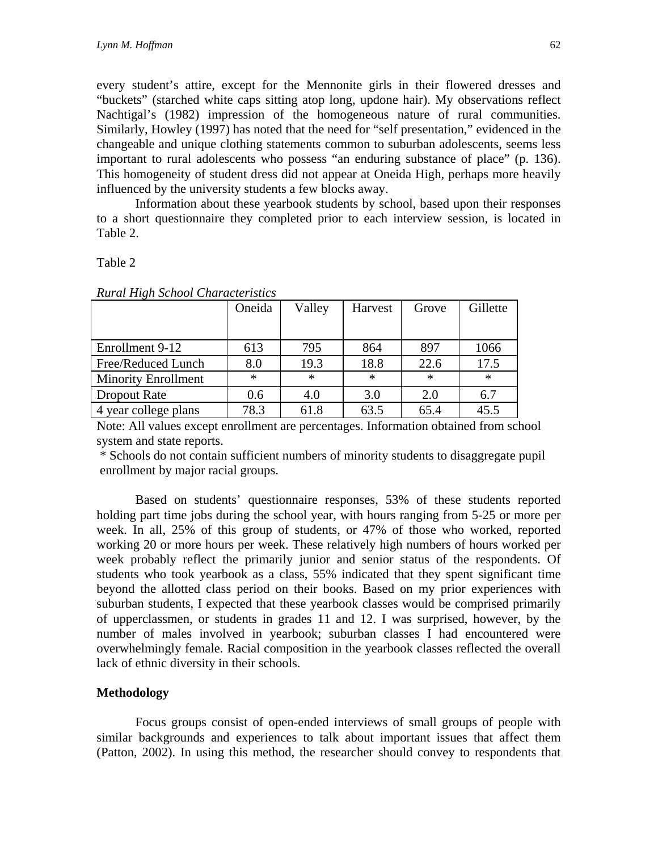every student's attire, except for the Mennonite girls in their flowered dresses and "buckets" (starched white caps sitting atop long, updone hair). My observations reflect Nachtigal's (1982) impression of the homogeneous nature of rural communities. Similarly, Howley (1997) has noted that the need for "self presentation," evidenced in the changeable and unique clothing statements common to suburban adolescents, seems less important to rural adolescents who possess "an enduring substance of place" (p. 136). This homogeneity of student dress did not appear at Oneida High, perhaps more heavily influenced by the university students a few blocks away.

Information about these yearbook students by school, based upon their responses to a short questionnaire they completed prior to each interview session, is located in Table 2.

#### Table 2

| <i>Red and Arrive Bellove Cheri actor tottes</i> |        |        |         |        |          |  |  |  |
|--------------------------------------------------|--------|--------|---------|--------|----------|--|--|--|
|                                                  | Oneida | Valley | Harvest | Grove  | Gillette |  |  |  |
|                                                  |        |        |         |        |          |  |  |  |
| Enrollment 9-12                                  | 613    | 795    | 864     | 897    | 1066     |  |  |  |
| Free/Reduced Lunch                               | 8.0    | 19.3   | 18.8    | 22.6   | 17.5     |  |  |  |
| <b>Minority Enrollment</b>                       | $\ast$ | $\ast$ | $\ast$  | $\ast$ | $\ast$   |  |  |  |
| Dropout Rate                                     | 0.6    | 4.0    | 3.0     | 2.0    | 6.7      |  |  |  |
| 4 year college plans                             | 78.3   | 61.8   | 63.5    | 65.4   | 45.5     |  |  |  |

*Rural High School Characteristics* 

Note: All values except enrollment are percentages. Information obtained from school system and state reports.

 \* Schools do not contain sufficient numbers of minority students to disaggregate pupil enrollment by major racial groups.

Based on students' questionnaire responses, 53% of these students reported holding part time jobs during the school year, with hours ranging from 5-25 or more per week. In all, 25% of this group of students, or 47% of those who worked, reported working 20 or more hours per week. These relatively high numbers of hours worked per week probably reflect the primarily junior and senior status of the respondents. Of students who took yearbook as a class, 55% indicated that they spent significant time beyond the allotted class period on their books. Based on my prior experiences with suburban students, I expected that these yearbook classes would be comprised primarily of upperclassmen, or students in grades 11 and 12. I was surprised, however, by the number of males involved in yearbook; suburban classes I had encountered were overwhelmingly female. Racial composition in the yearbook classes reflected the overall lack of ethnic diversity in their schools.

## **Methodology**

Focus groups consist of open-ended interviews of small groups of people with similar backgrounds and experiences to talk about important issues that affect them (Patton, 2002). In using this method, the researcher should convey to respondents that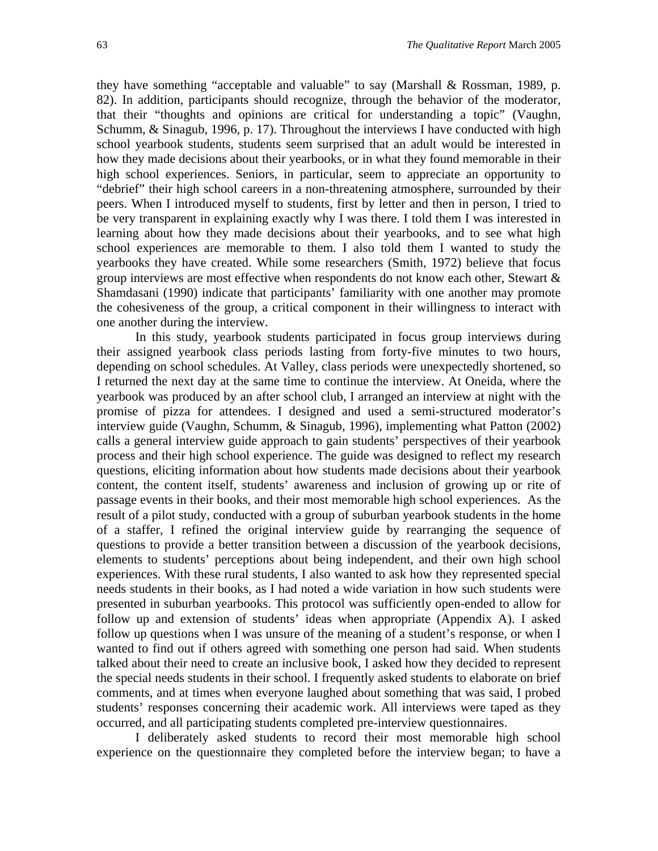they have something "acceptable and valuable" to say (Marshall & Rossman, 1989, p. 82). In addition, participants should recognize, through the behavior of the moderator, that their "thoughts and opinions are critical for understanding a topic" (Vaughn, Schumm, & Sinagub, 1996, p. 17). Throughout the interviews I have conducted with high school yearbook students, students seem surprised that an adult would be interested in how they made decisions about their yearbooks, or in what they found memorable in their high school experiences. Seniors, in particular, seem to appreciate an opportunity to "debrief" their high school careers in a non-threatening atmosphere, surrounded by their peers. When I introduced myself to students, first by letter and then in person, I tried to be very transparent in explaining exactly why I was there. I told them I was interested in learning about how they made decisions about their yearbooks, and to see what high school experiences are memorable to them. I also told them I wanted to study the yearbooks they have created. While some researchers (Smith, 1972) believe that focus group interviews are most effective when respondents do not know each other, Stewart & Shamdasani (1990) indicate that participants' familiarity with one another may promote the cohesiveness of the group, a critical component in their willingness to interact with one another during the interview.

In this study, yearbook students participated in focus group interviews during their assigned yearbook class periods lasting from forty-five minutes to two hours, depending on school schedules. At Valley, class periods were unexpectedly shortened, so I returned the next day at the same time to continue the interview. At Oneida, where the yearbook was produced by an after school club, I arranged an interview at night with the promise of pizza for attendees. I designed and used a semi-structured moderator's interview guide (Vaughn, Schumm, & Sinagub, 1996), implementing what Patton (2002) calls a general interview guide approach to gain students' perspectives of their yearbook process and their high school experience. The guide was designed to reflect my research questions, eliciting information about how students made decisions about their yearbook content, the content itself, students' awareness and inclusion of growing up or rite of passage events in their books, and their most memorable high school experiences. As the result of a pilot study, conducted with a group of suburban yearbook students in the home of a staffer, I refined the original interview guide by rearranging the sequence of questions to provide a better transition between a discussion of the yearbook decisions, elements to students' perceptions about being independent, and their own high school experiences. With these rural students, I also wanted to ask how they represented special needs students in their books, as I had noted a wide variation in how such students were presented in suburban yearbooks. This protocol was sufficiently open-ended to allow for follow up and extension of students' ideas when appropriate (Appendix A). I asked follow up questions when I was unsure of the meaning of a student's response, or when I wanted to find out if others agreed with something one person had said. When students talked about their need to create an inclusive book, I asked how they decided to represent the special needs students in their school. I frequently asked students to elaborate on brief comments, and at times when everyone laughed about something that was said, I probed students' responses concerning their academic work. All interviews were taped as they occurred, and all participating students completed pre-interview questionnaires.

I deliberately asked students to record their most memorable high school experience on the questionnaire they completed before the interview began; to have a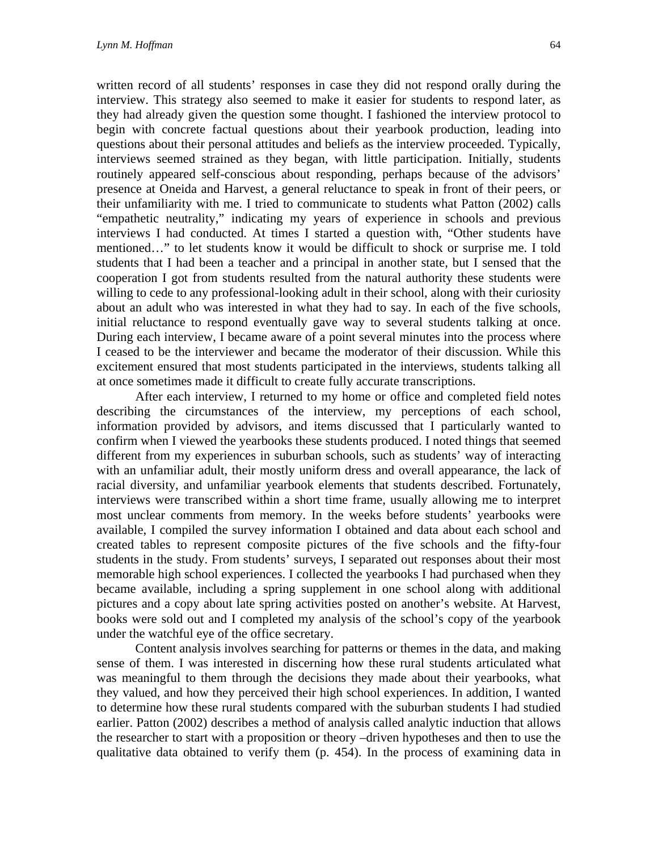written record of all students' responses in case they did not respond orally during the interview. This strategy also seemed to make it easier for students to respond later, as they had already given the question some thought. I fashioned the interview protocol to begin with concrete factual questions about their yearbook production, leading into questions about their personal attitudes and beliefs as the interview proceeded. Typically, interviews seemed strained as they began, with little participation. Initially, students routinely appeared self-conscious about responding, perhaps because of the advisors' presence at Oneida and Harvest, a general reluctance to speak in front of their peers, or their unfamiliarity with me. I tried to communicate to students what Patton (2002) calls "empathetic neutrality," indicating my years of experience in schools and previous interviews I had conducted. At times I started a question with, "Other students have mentioned…" to let students know it would be difficult to shock or surprise me. I told students that I had been a teacher and a principal in another state, but I sensed that the cooperation I got from students resulted from the natural authority these students were willing to cede to any professional-looking adult in their school, along with their curiosity about an adult who was interested in what they had to say. In each of the five schools, initial reluctance to respond eventually gave way to several students talking at once. During each interview, I became aware of a point several minutes into the process where I ceased to be the interviewer and became the moderator of their discussion. While this excitement ensured that most students participated in the interviews, students talking all at once sometimes made it difficult to create fully accurate transcriptions.

After each interview, I returned to my home or office and completed field notes describing the circumstances of the interview, my perceptions of each school, information provided by advisors, and items discussed that I particularly wanted to confirm when I viewed the yearbooks these students produced. I noted things that seemed different from my experiences in suburban schools, such as students' way of interacting with an unfamiliar adult, their mostly uniform dress and overall appearance, the lack of racial diversity, and unfamiliar yearbook elements that students described. Fortunately, interviews were transcribed within a short time frame, usually allowing me to interpret most unclear comments from memory. In the weeks before students' yearbooks were available, I compiled the survey information I obtained and data about each school and created tables to represent composite pictures of the five schools and the fifty-four students in the study. From students' surveys, I separated out responses about their most memorable high school experiences. I collected the yearbooks I had purchased when they became available, including a spring supplement in one school along with additional pictures and a copy about late spring activities posted on another's website. At Harvest, books were sold out and I completed my analysis of the school's copy of the yearbook under the watchful eye of the office secretary.

Content analysis involves searching for patterns or themes in the data, and making sense of them. I was interested in discerning how these rural students articulated what was meaningful to them through the decisions they made about their yearbooks, what they valued, and how they perceived their high school experiences. In addition, I wanted to determine how these rural students compared with the suburban students I had studied earlier. Patton (2002) describes a method of analysis called analytic induction that allows the researcher to start with a proposition or theory –driven hypotheses and then to use the qualitative data obtained to verify them (p. 454). In the process of examining data in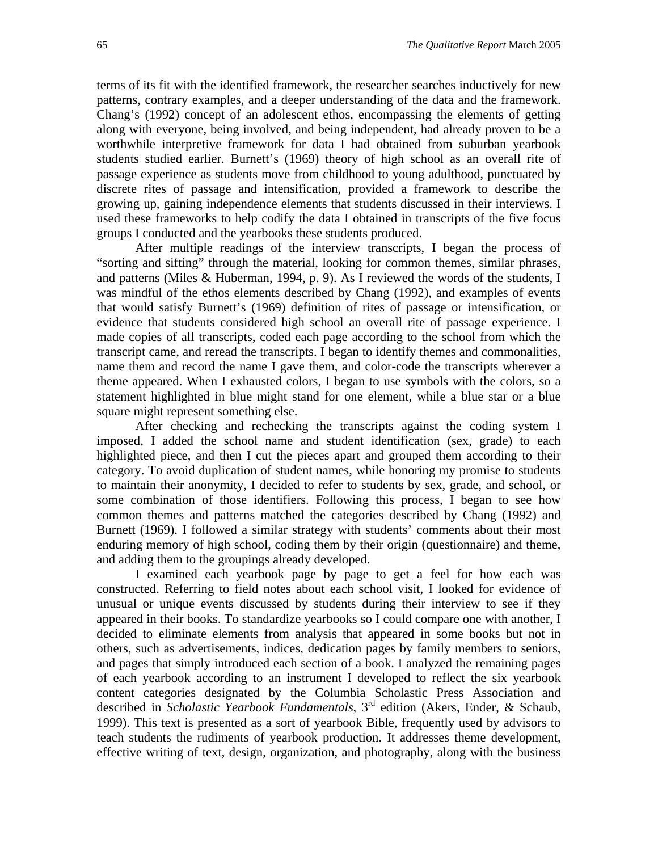terms of its fit with the identified framework, the researcher searches inductively for new patterns, contrary examples, and a deeper understanding of the data and the framework. Chang's (1992) concept of an adolescent ethos, encompassing the elements of getting along with everyone, being involved, and being independent, had already proven to be a worthwhile interpretive framework for data I had obtained from suburban yearbook students studied earlier. Burnett's (1969) theory of high school as an overall rite of passage experience as students move from childhood to young adulthood, punctuated by discrete rites of passage and intensification, provided a framework to describe the growing up, gaining independence elements that students discussed in their interviews. I used these frameworks to help codify the data I obtained in transcripts of the five focus groups I conducted and the yearbooks these students produced.

After multiple readings of the interview transcripts, I began the process of "sorting and sifting" through the material, looking for common themes, similar phrases, and patterns (Miles & Huberman, 1994, p. 9). As I reviewed the words of the students, I was mindful of the ethos elements described by Chang (1992), and examples of events that would satisfy Burnett's (1969) definition of rites of passage or intensification, or evidence that students considered high school an overall rite of passage experience. I made copies of all transcripts, coded each page according to the school from which the transcript came, and reread the transcripts. I began to identify themes and commonalities, name them and record the name I gave them, and color-code the transcripts wherever a theme appeared. When I exhausted colors, I began to use symbols with the colors, so a statement highlighted in blue might stand for one element, while a blue star or a blue square might represent something else.

After checking and rechecking the transcripts against the coding system I imposed, I added the school name and student identification (sex, grade) to each highlighted piece, and then I cut the pieces apart and grouped them according to their category. To avoid duplication of student names, while honoring my promise to students to maintain their anonymity, I decided to refer to students by sex, grade, and school, or some combination of those identifiers. Following this process, I began to see how common themes and patterns matched the categories described by Chang (1992) and Burnett (1969). I followed a similar strategy with students' comments about their most enduring memory of high school, coding them by their origin (questionnaire) and theme, and adding them to the groupings already developed.

I examined each yearbook page by page to get a feel for how each was constructed. Referring to field notes about each school visit, I looked for evidence of unusual or unique events discussed by students during their interview to see if they appeared in their books. To standardize yearbooks so I could compare one with another, I decided to eliminate elements from analysis that appeared in some books but not in others, such as advertisements, indices, dedication pages by family members to seniors, and pages that simply introduced each section of a book. I analyzed the remaining pages of each yearbook according to an instrument I developed to reflect the six yearbook content categories designated by the Columbia Scholastic Press Association and described in *Scholastic Yearbook Fundamentals*, 3rd edition (Akers, Ender, & Schaub, 1999). This text is presented as a sort of yearbook Bible, frequently used by advisors to teach students the rudiments of yearbook production. It addresses theme development, effective writing of text, design, organization, and photography, along with the business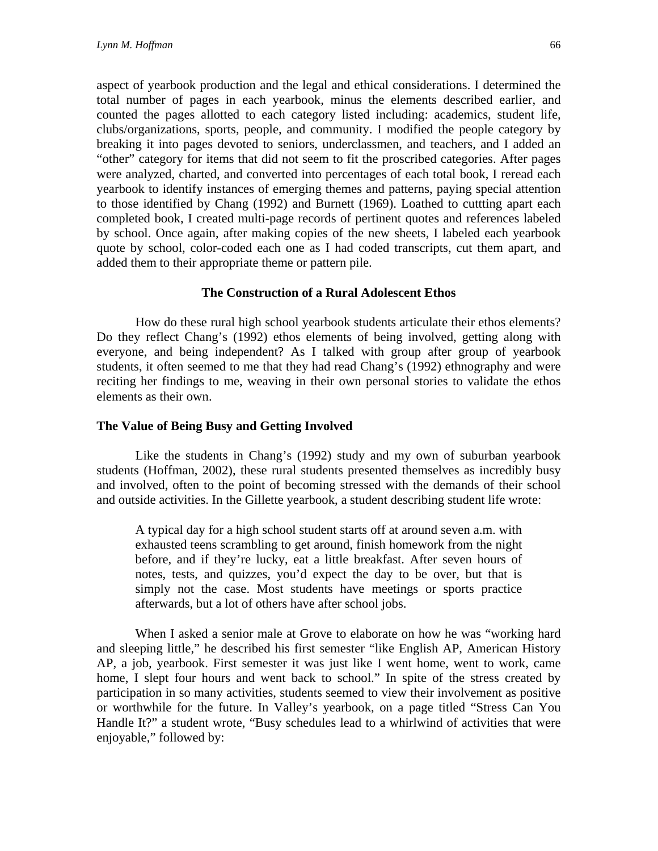aspect of yearbook production and the legal and ethical considerations. I determined the total number of pages in each yearbook, minus the elements described earlier, and counted the pages allotted to each category listed including: academics, student life, clubs/organizations, sports, people, and community. I modified the people category by breaking it into pages devoted to seniors, underclassmen, and teachers, and I added an "other" category for items that did not seem to fit the proscribed categories. After pages were analyzed, charted, and converted into percentages of each total book, I reread each yearbook to identify instances of emerging themes and patterns, paying special attention to those identified by Chang (1992) and Burnett (1969). Loathed to cuttting apart each completed book, I created multi-page records of pertinent quotes and references labeled by school. Once again, after making copies of the new sheets, I labeled each yearbook quote by school, color-coded each one as I had coded transcripts, cut them apart, and added them to their appropriate theme or pattern pile.

## **The Construction of a Rural Adolescent Ethos**

How do these rural high school yearbook students articulate their ethos elements? Do they reflect Chang's (1992) ethos elements of being involved, getting along with everyone, and being independent? As I talked with group after group of yearbook students, it often seemed to me that they had read Chang's (1992) ethnography and were reciting her findings to me, weaving in their own personal stories to validate the ethos elements as their own.

## **The Value of Being Busy and Getting Involved**

Like the students in Chang's (1992) study and my own of suburban yearbook students (Hoffman, 2002), these rural students presented themselves as incredibly busy and involved, often to the point of becoming stressed with the demands of their school and outside activities. In the Gillette yearbook, a student describing student life wrote:

A typical day for a high school student starts off at around seven a.m. with exhausted teens scrambling to get around, finish homework from the night before, and if they're lucky, eat a little breakfast. After seven hours of notes, tests, and quizzes, you'd expect the day to be over, but that is simply not the case. Most students have meetings or sports practice afterwards, but a lot of others have after school jobs.

When I asked a senior male at Grove to elaborate on how he was "working hard and sleeping little," he described his first semester "like English AP, American History AP, a job, yearbook. First semester it was just like I went home, went to work, came home, I slept four hours and went back to school." In spite of the stress created by participation in so many activities, students seemed to view their involvement as positive or worthwhile for the future. In Valley's yearbook, on a page titled "Stress Can You Handle It?" a student wrote, "Busy schedules lead to a whirlwind of activities that were enjoyable," followed by: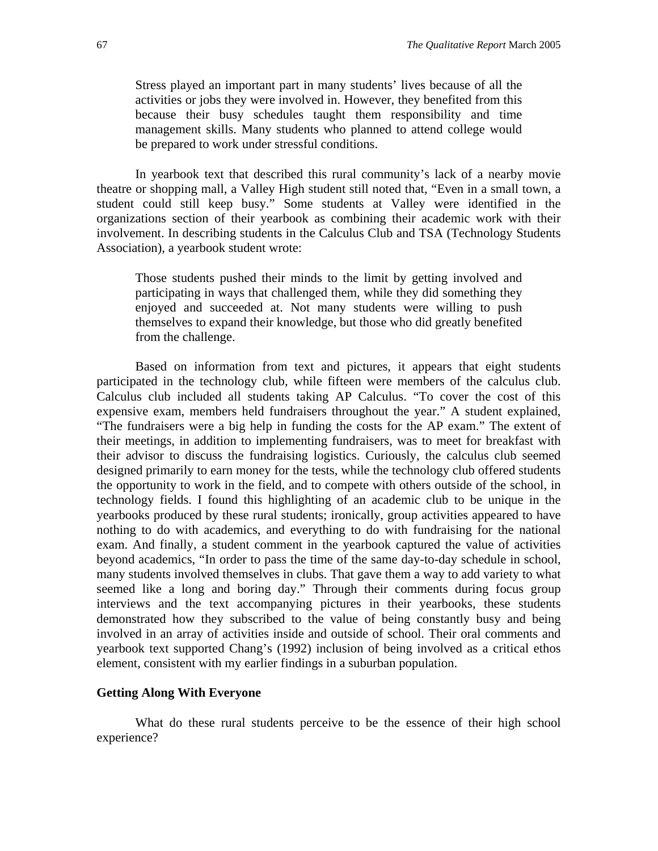Stress played an important part in many students' lives because of all the activities or jobs they were involved in. However, they benefited from this because their busy schedules taught them responsibility and time management skills. Many students who planned to attend college would be prepared to work under stressful conditions.

In yearbook text that described this rural community's lack of a nearby movie theatre or shopping mall, a Valley High student still noted that, "Even in a small town, a student could still keep busy." Some students at Valley were identified in the organizations section of their yearbook as combining their academic work with their involvement. In describing students in the Calculus Club and TSA (Technology Students Association), a yearbook student wrote:

Those students pushed their minds to the limit by getting involved and participating in ways that challenged them, while they did something they enjoyed and succeeded at. Not many students were willing to push themselves to expand their knowledge, but those who did greatly benefited from the challenge.

Based on information from text and pictures, it appears that eight students participated in the technology club, while fifteen were members of the calculus club. Calculus club included all students taking AP Calculus. "To cover the cost of this expensive exam, members held fundraisers throughout the year." A student explained, "The fundraisers were a big help in funding the costs for the AP exam." The extent of their meetings, in addition to implementing fundraisers, was to meet for breakfast with their advisor to discuss the fundraising logistics. Curiously, the calculus club seemed designed primarily to earn money for the tests, while the technology club offered students the opportunity to work in the field, and to compete with others outside of the school, in technology fields. I found this highlighting of an academic club to be unique in the yearbooks produced by these rural students; ironically, group activities appeared to have nothing to do with academics, and everything to do with fundraising for the national exam. And finally, a student comment in the yearbook captured the value of activities beyond academics, "In order to pass the time of the same day-to-day schedule in school, many students involved themselves in clubs. That gave them a way to add variety to what seemed like a long and boring day." Through their comments during focus group interviews and the text accompanying pictures in their yearbooks, these students demonstrated how they subscribed to the value of being constantly busy and being involved in an array of activities inside and outside of school. Their oral comments and yearbook text supported Chang's (1992) inclusion of being involved as a critical ethos element, consistent with my earlier findings in a suburban population.

## **Getting Along With Everyone**

What do these rural students perceive to be the essence of their high school experience?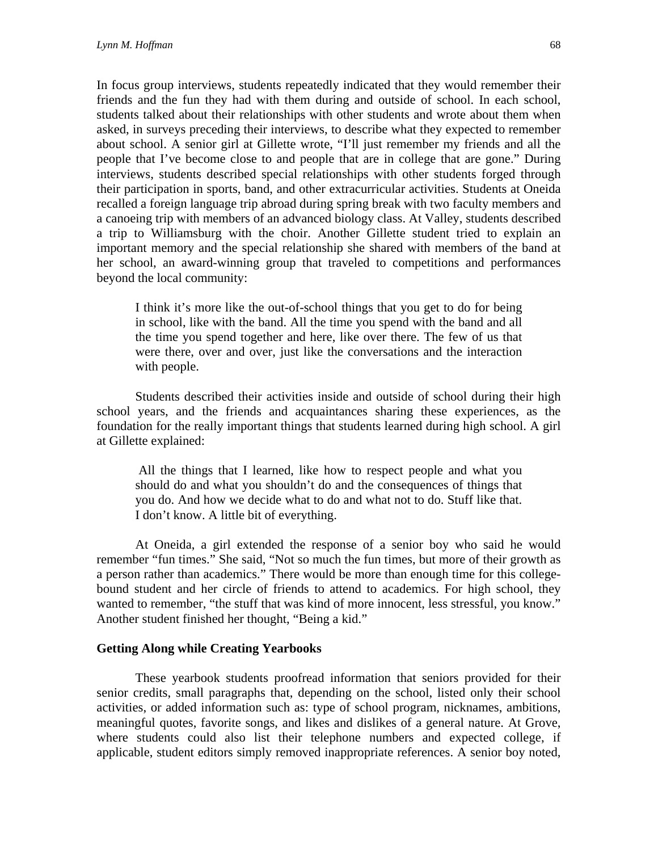In focus group interviews, students repeatedly indicated that they would remember their friends and the fun they had with them during and outside of school. In each school, students talked about their relationships with other students and wrote about them when asked, in surveys preceding their interviews, to describe what they expected to remember about school. A senior girl at Gillette wrote, "I'll just remember my friends and all the people that I've become close to and people that are in college that are gone." During interviews, students described special relationships with other students forged through their participation in sports, band, and other extracurricular activities. Students at Oneida recalled a foreign language trip abroad during spring break with two faculty members and a canoeing trip with members of an advanced biology class. At Valley, students described a trip to Williamsburg with the choir. Another Gillette student tried to explain an important memory and the special relationship she shared with members of the band at her school, an award-winning group that traveled to competitions and performances beyond the local community:

I think it's more like the out-of-school things that you get to do for being in school, like with the band. All the time you spend with the band and all the time you spend together and here, like over there. The few of us that were there, over and over, just like the conversations and the interaction with people.

Students described their activities inside and outside of school during their high school years, and the friends and acquaintances sharing these experiences, as the foundation for the really important things that students learned during high school. A girl at Gillette explained:

All the things that I learned, like how to respect people and what you should do and what you shouldn't do and the consequences of things that you do. And how we decide what to do and what not to do. Stuff like that. I don't know. A little bit of everything.

At Oneida, a girl extended the response of a senior boy who said he would remember "fun times." She said, "Not so much the fun times, but more of their growth as a person rather than academics." There would be more than enough time for this collegebound student and her circle of friends to attend to academics. For high school, they wanted to remember, "the stuff that was kind of more innocent, less stressful, you know." Another student finished her thought, "Being a kid."

#### **Getting Along while Creating Yearbooks**

These yearbook students proofread information that seniors provided for their senior credits, small paragraphs that, depending on the school, listed only their school activities, or added information such as: type of school program, nicknames, ambitions, meaningful quotes, favorite songs, and likes and dislikes of a general nature. At Grove, where students could also list their telephone numbers and expected college, if applicable, student editors simply removed inappropriate references. A senior boy noted,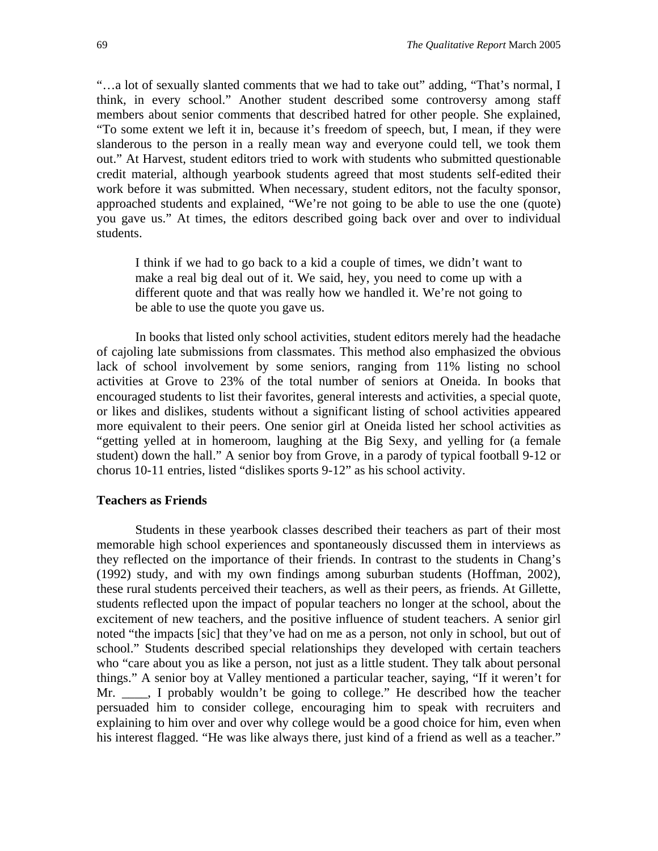"…a lot of sexually slanted comments that we had to take out" adding, "That's normal, I think, in every school." Another student described some controversy among staff members about senior comments that described hatred for other people. She explained, "To some extent we left it in, because it's freedom of speech, but, I mean, if they were slanderous to the person in a really mean way and everyone could tell, we took them out." At Harvest, student editors tried to work with students who submitted questionable credit material, although yearbook students agreed that most students self-edited their work before it was submitted. When necessary, student editors, not the faculty sponsor, approached students and explained, "We're not going to be able to use the one (quote) you gave us." At times, the editors described going back over and over to individual students.

I think if we had to go back to a kid a couple of times, we didn't want to make a real big deal out of it. We said, hey, you need to come up with a different quote and that was really how we handled it. We're not going to be able to use the quote you gave us.

In books that listed only school activities, student editors merely had the headache of cajoling late submissions from classmates. This method also emphasized the obvious lack of school involvement by some seniors, ranging from 11% listing no school activities at Grove to 23% of the total number of seniors at Oneida. In books that encouraged students to list their favorites, general interests and activities, a special quote, or likes and dislikes, students without a significant listing of school activities appeared more equivalent to their peers. One senior girl at Oneida listed her school activities as "getting yelled at in homeroom, laughing at the Big Sexy, and yelling for (a female student) down the hall." A senior boy from Grove, in a parody of typical football 9-12 or chorus 10-11 entries, listed "dislikes sports 9-12" as his school activity.

#### **Teachers as Friends**

Students in these yearbook classes described their teachers as part of their most memorable high school experiences and spontaneously discussed them in interviews as they reflected on the importance of their friends. In contrast to the students in Chang's (1992) study, and with my own findings among suburban students (Hoffman, 2002), these rural students perceived their teachers, as well as their peers, as friends. At Gillette, students reflected upon the impact of popular teachers no longer at the school, about the excitement of new teachers, and the positive influence of student teachers. A senior girl noted "the impacts [sic] that they've had on me as a person, not only in school, but out of school." Students described special relationships they developed with certain teachers who "care about you as like a person, not just as a little student. They talk about personal things." A senior boy at Valley mentioned a particular teacher, saying, "If it weren't for Mr. \_\_\_, I probably wouldn't be going to college." He described how the teacher persuaded him to consider college, encouraging him to speak with recruiters and explaining to him over and over why college would be a good choice for him, even when his interest flagged. "He was like always there, just kind of a friend as well as a teacher."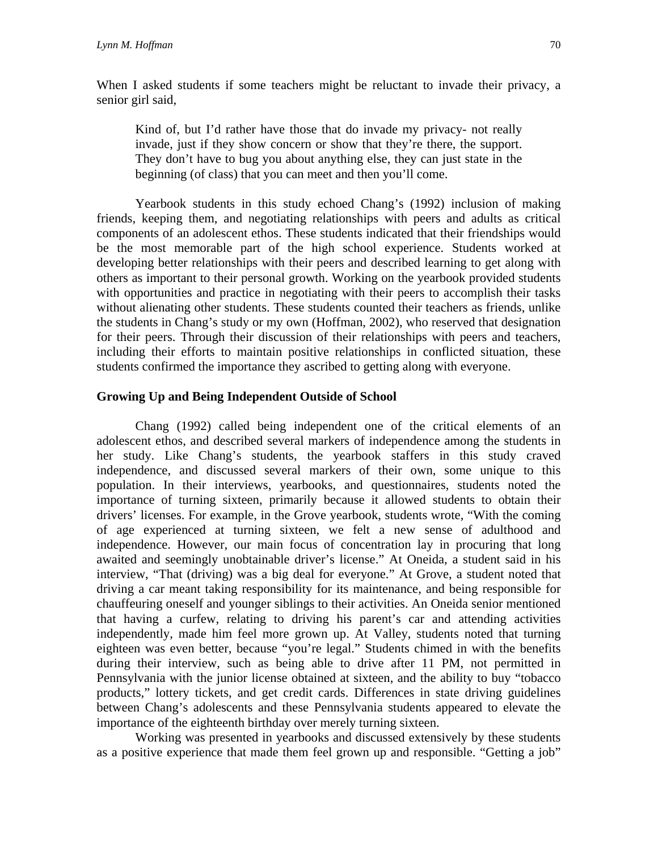When I asked students if some teachers might be reluctant to invade their privacy, a senior girl said,

Kind of, but I'd rather have those that do invade my privacy- not really invade, just if they show concern or show that they're there, the support. They don't have to bug you about anything else, they can just state in the beginning (of class) that you can meet and then you'll come.

Yearbook students in this study echoed Chang's (1992) inclusion of making friends, keeping them, and negotiating relationships with peers and adults as critical components of an adolescent ethos. These students indicated that their friendships would be the most memorable part of the high school experience. Students worked at developing better relationships with their peers and described learning to get along with others as important to their personal growth. Working on the yearbook provided students with opportunities and practice in negotiating with their peers to accomplish their tasks without alienating other students. These students counted their teachers as friends, unlike the students in Chang's study or my own (Hoffman, 2002), who reserved that designation for their peers. Through their discussion of their relationships with peers and teachers, including their efforts to maintain positive relationships in conflicted situation, these students confirmed the importance they ascribed to getting along with everyone.

## **Growing Up and Being Independent Outside of School**

Chang (1992) called being independent one of the critical elements of an adolescent ethos, and described several markers of independence among the students in her study. Like Chang's students, the yearbook staffers in this study craved independence, and discussed several markers of their own, some unique to this population. In their interviews, yearbooks, and questionnaires, students noted the importance of turning sixteen, primarily because it allowed students to obtain their drivers' licenses. For example, in the Grove yearbook, students wrote, "With the coming of age experienced at turning sixteen, we felt a new sense of adulthood and independence. However, our main focus of concentration lay in procuring that long awaited and seemingly unobtainable driver's license." At Oneida, a student said in his interview, "That (driving) was a big deal for everyone." At Grove, a student noted that driving a car meant taking responsibility for its maintenance, and being responsible for chauffeuring oneself and younger siblings to their activities. An Oneida senior mentioned that having a curfew, relating to driving his parent's car and attending activities independently, made him feel more grown up. At Valley, students noted that turning eighteen was even better, because "you're legal." Students chimed in with the benefits during their interview, such as being able to drive after 11 PM, not permitted in Pennsylvania with the junior license obtained at sixteen, and the ability to buy "tobacco products," lottery tickets, and get credit cards. Differences in state driving guidelines between Chang's adolescents and these Pennsylvania students appeared to elevate the importance of the eighteenth birthday over merely turning sixteen.

Working was presented in yearbooks and discussed extensively by these students as a positive experience that made them feel grown up and responsible. "Getting a job"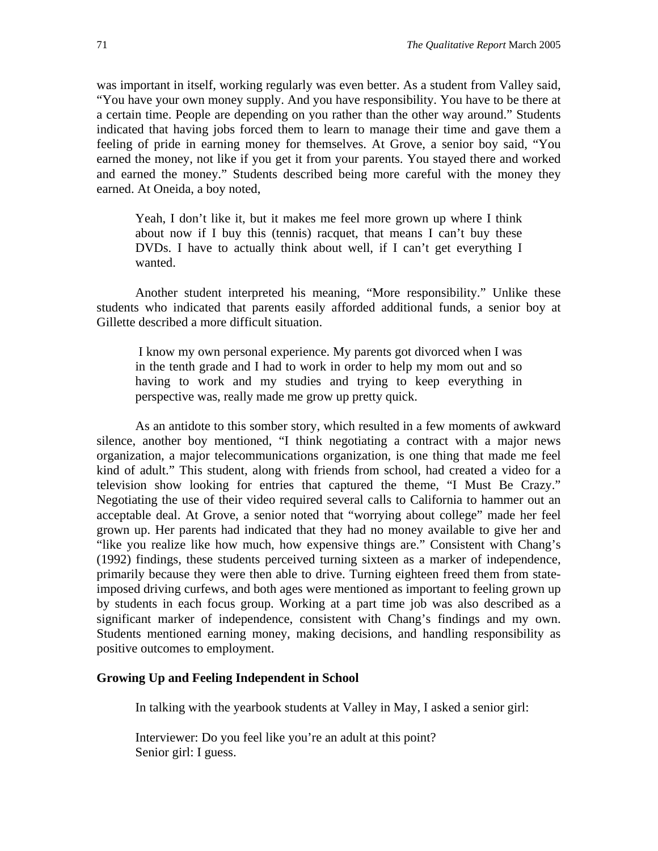was important in itself, working regularly was even better. As a student from Valley said, "You have your own money supply. And you have responsibility. You have to be there at a certain time. People are depending on you rather than the other way around." Students indicated that having jobs forced them to learn to manage their time and gave them a feeling of pride in earning money for themselves. At Grove, a senior boy said, "You earned the money, not like if you get it from your parents. You stayed there and worked and earned the money." Students described being more careful with the money they earned. At Oneida, a boy noted,

Yeah, I don't like it, but it makes me feel more grown up where I think about now if I buy this (tennis) racquet, that means I can't buy these DVDs. I have to actually think about well, if I can't get everything I wanted.

Another student interpreted his meaning, "More responsibility." Unlike these students who indicated that parents easily afforded additional funds, a senior boy at Gillette described a more difficult situation.

I know my own personal experience. My parents got divorced when I was in the tenth grade and I had to work in order to help my mom out and so having to work and my studies and trying to keep everything in perspective was, really made me grow up pretty quick.

As an antidote to this somber story, which resulted in a few moments of awkward silence, another boy mentioned, "I think negotiating a contract with a major news organization, a major telecommunications organization, is one thing that made me feel kind of adult." This student, along with friends from school, had created a video for a television show looking for entries that captured the theme, "I Must Be Crazy." Negotiating the use of their video required several calls to California to hammer out an acceptable deal. At Grove, a senior noted that "worrying about college" made her feel grown up. Her parents had indicated that they had no money available to give her and "like you realize like how much, how expensive things are." Consistent with Chang's (1992) findings, these students perceived turning sixteen as a marker of independence, primarily because they were then able to drive. Turning eighteen freed them from stateimposed driving curfews, and both ages were mentioned as important to feeling grown up by students in each focus group. Working at a part time job was also described as a significant marker of independence, consistent with Chang's findings and my own. Students mentioned earning money, making decisions, and handling responsibility as positive outcomes to employment.

## **Growing Up and Feeling Independent in School**

In talking with the yearbook students at Valley in May, I asked a senior girl:

Interviewer: Do you feel like you're an adult at this point? Senior girl: I guess.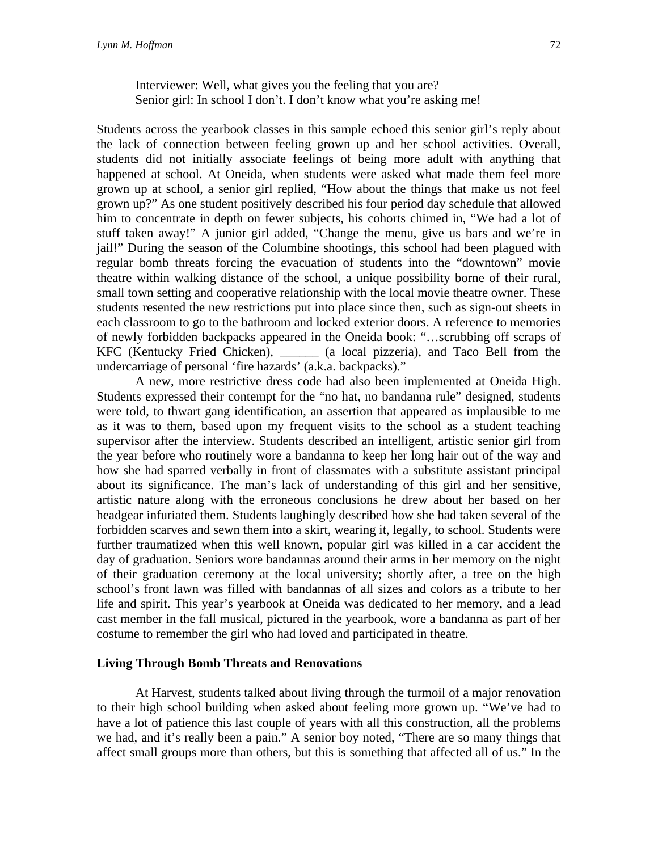Interviewer: Well, what gives you the feeling that you are? Senior girl: In school I don't. I don't know what you're asking me!

Students across the yearbook classes in this sample echoed this senior girl's reply about the lack of connection between feeling grown up and her school activities. Overall, students did not initially associate feelings of being more adult with anything that happened at school. At Oneida, when students were asked what made them feel more grown up at school, a senior girl replied, "How about the things that make us not feel grown up?" As one student positively described his four period day schedule that allowed him to concentrate in depth on fewer subjects, his cohorts chimed in, "We had a lot of stuff taken away!" A junior girl added, "Change the menu, give us bars and we're in jail!" During the season of the Columbine shootings, this school had been plagued with regular bomb threats forcing the evacuation of students into the "downtown" movie theatre within walking distance of the school, a unique possibility borne of their rural, small town setting and cooperative relationship with the local movie theatre owner. These students resented the new restrictions put into place since then, such as sign-out sheets in each classroom to go to the bathroom and locked exterior doors. A reference to memories of newly forbidden backpacks appeared in the Oneida book: "…scrubbing off scraps of KFC (Kentucky Fried Chicken), \_\_\_\_\_\_ (a local pizzeria), and Taco Bell from the undercarriage of personal 'fire hazards' (a.k.a. backpacks)."

A new, more restrictive dress code had also been implemented at Oneida High. Students expressed their contempt for the "no hat, no bandanna rule" designed, students were told, to thwart gang identification, an assertion that appeared as implausible to me as it was to them, based upon my frequent visits to the school as a student teaching supervisor after the interview. Students described an intelligent, artistic senior girl from the year before who routinely wore a bandanna to keep her long hair out of the way and how she had sparred verbally in front of classmates with a substitute assistant principal about its significance. The man's lack of understanding of this girl and her sensitive, artistic nature along with the erroneous conclusions he drew about her based on her headgear infuriated them. Students laughingly described how she had taken several of the forbidden scarves and sewn them into a skirt, wearing it, legally, to school. Students were further traumatized when this well known, popular girl was killed in a car accident the day of graduation. Seniors wore bandannas around their arms in her memory on the night of their graduation ceremony at the local university; shortly after, a tree on the high school's front lawn was filled with bandannas of all sizes and colors as a tribute to her life and spirit. This year's yearbook at Oneida was dedicated to her memory, and a lead cast member in the fall musical, pictured in the yearbook, wore a bandanna as part of her costume to remember the girl who had loved and participated in theatre.

### **Living Through Bomb Threats and Renovations**

At Harvest, students talked about living through the turmoil of a major renovation to their high school building when asked about feeling more grown up. "We've had to have a lot of patience this last couple of years with all this construction, all the problems we had, and it's really been a pain." A senior boy noted, "There are so many things that affect small groups more than others, but this is something that affected all of us." In the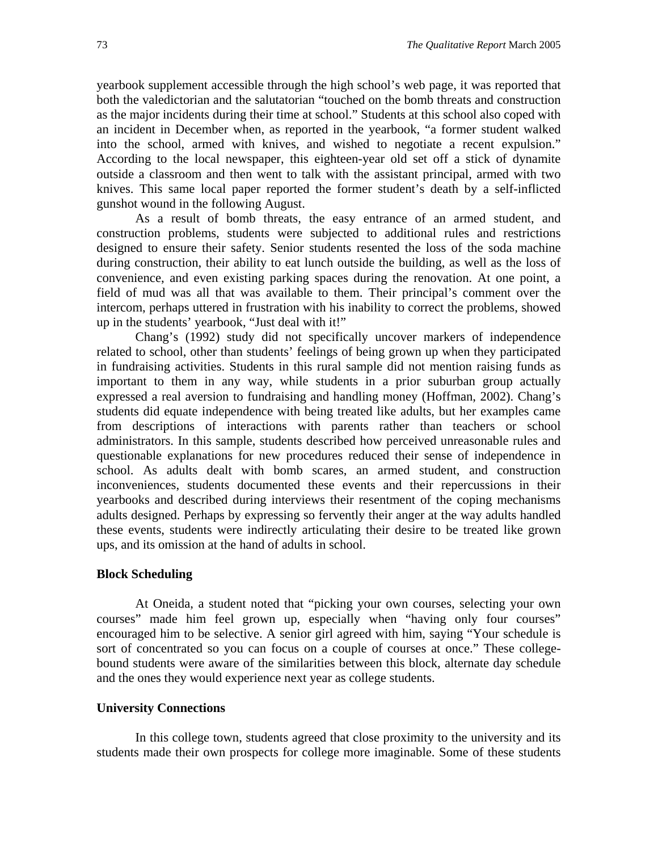yearbook supplement accessible through the high school's web page, it was reported that both the valedictorian and the salutatorian "touched on the bomb threats and construction as the major incidents during their time at school." Students at this school also coped with an incident in December when, as reported in the yearbook, "a former student walked into the school, armed with knives, and wished to negotiate a recent expulsion." According to the local newspaper, this eighteen-year old set off a stick of dynamite outside a classroom and then went to talk with the assistant principal, armed with two knives. This same local paper reported the former student's death by a self-inflicted gunshot wound in the following August.

As a result of bomb threats, the easy entrance of an armed student, and construction problems, students were subjected to additional rules and restrictions designed to ensure their safety. Senior students resented the loss of the soda machine during construction, their ability to eat lunch outside the building, as well as the loss of convenience, and even existing parking spaces during the renovation. At one point, a field of mud was all that was available to them. Their principal's comment over the intercom, perhaps uttered in frustration with his inability to correct the problems, showed up in the students' yearbook, "Just deal with it!"

Chang's (1992) study did not specifically uncover markers of independence related to school, other than students' feelings of being grown up when they participated in fundraising activities. Students in this rural sample did not mention raising funds as important to them in any way, while students in a prior suburban group actually expressed a real aversion to fundraising and handling money (Hoffman, 2002). Chang's students did equate independence with being treated like adults, but her examples came from descriptions of interactions with parents rather than teachers or school administrators. In this sample, students described how perceived unreasonable rules and questionable explanations for new procedures reduced their sense of independence in school. As adults dealt with bomb scares, an armed student, and construction inconveniences, students documented these events and their repercussions in their yearbooks and described during interviews their resentment of the coping mechanisms adults designed. Perhaps by expressing so fervently their anger at the way adults handled these events, students were indirectly articulating their desire to be treated like grown ups, and its omission at the hand of adults in school.

## **Block Scheduling**

At Oneida, a student noted that "picking your own courses, selecting your own courses" made him feel grown up, especially when "having only four courses" encouraged him to be selective. A senior girl agreed with him, saying "Your schedule is sort of concentrated so you can focus on a couple of courses at once." These collegebound students were aware of the similarities between this block, alternate day schedule and the ones they would experience next year as college students.

## **University Connections**

In this college town, students agreed that close proximity to the university and its students made their own prospects for college more imaginable. Some of these students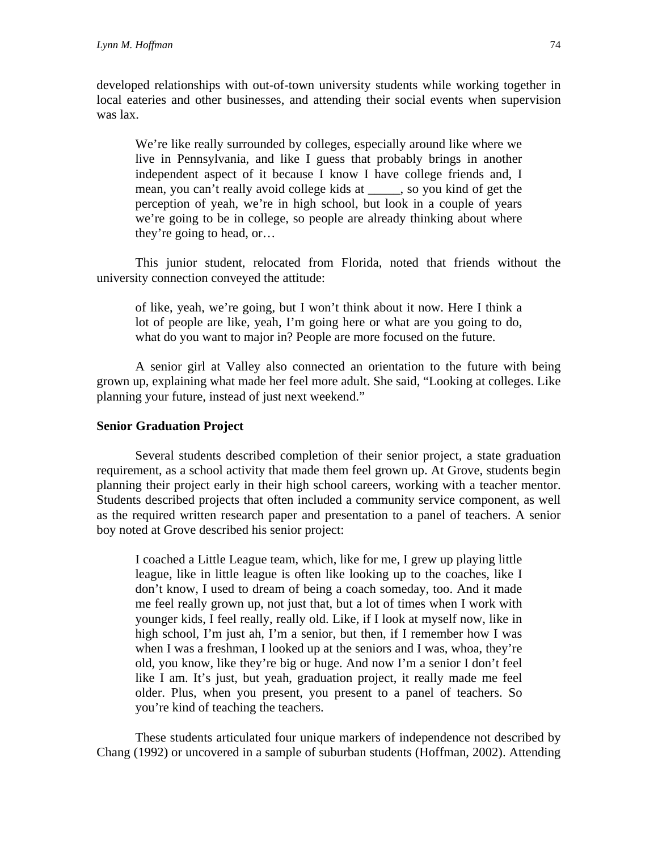developed relationships with out-of-town university students while working together in local eateries and other businesses, and attending their social events when supervision was lax.

We're like really surrounded by colleges, especially around like where we live in Pennsylvania, and like I guess that probably brings in another independent aspect of it because I know I have college friends and, I mean, you can't really avoid college kids at \_\_\_\_\_, so you kind of get the perception of yeah, we're in high school, but look in a couple of years we're going to be in college, so people are already thinking about where they're going to head, or…

This junior student, relocated from Florida, noted that friends without the university connection conveyed the attitude:

of like, yeah, we're going, but I won't think about it now. Here I think a lot of people are like, yeah, I'm going here or what are you going to do, what do you want to major in? People are more focused on the future.

A senior girl at Valley also connected an orientation to the future with being grown up, explaining what made her feel more adult. She said, "Looking at colleges. Like planning your future, instead of just next weekend."

## **Senior Graduation Project**

Several students described completion of their senior project, a state graduation requirement, as a school activity that made them feel grown up. At Grove, students begin planning their project early in their high school careers, working with a teacher mentor. Students described projects that often included a community service component, as well as the required written research paper and presentation to a panel of teachers. A senior boy noted at Grove described his senior project:

I coached a Little League team, which, like for me, I grew up playing little league, like in little league is often like looking up to the coaches, like I don't know, I used to dream of being a coach someday, too. And it made me feel really grown up, not just that, but a lot of times when I work with younger kids, I feel really, really old. Like, if I look at myself now, like in high school, I'm just ah, I'm a senior, but then, if I remember how I was when I was a freshman, I looked up at the seniors and I was, whoa, they're old, you know, like they're big or huge. And now I'm a senior I don't feel like I am. It's just, but yeah, graduation project, it really made me feel older. Plus, when you present, you present to a panel of teachers. So you're kind of teaching the teachers.

These students articulated four unique markers of independence not described by Chang (1992) or uncovered in a sample of suburban students (Hoffman, 2002). Attending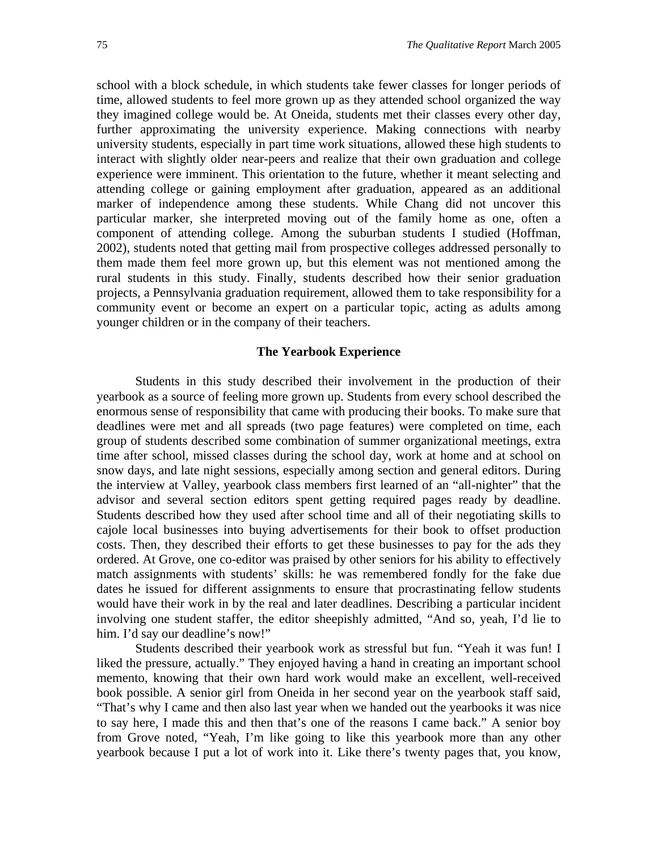school with a block schedule, in which students take fewer classes for longer periods of time, allowed students to feel more grown up as they attended school organized the way they imagined college would be. At Oneida, students met their classes every other day, further approximating the university experience. Making connections with nearby university students, especially in part time work situations, allowed these high students to interact with slightly older near-peers and realize that their own graduation and college experience were imminent. This orientation to the future, whether it meant selecting and attending college or gaining employment after graduation, appeared as an additional marker of independence among these students. While Chang did not uncover this particular marker, she interpreted moving out of the family home as one, often a component of attending college. Among the suburban students I studied (Hoffman, 2002), students noted that getting mail from prospective colleges addressed personally to them made them feel more grown up, but this element was not mentioned among the rural students in this study. Finally, students described how their senior graduation projects, a Pennsylvania graduation requirement, allowed them to take responsibility for a community event or become an expert on a particular topic, acting as adults among younger children or in the company of their teachers.

## **The Yearbook Experience**

Students in this study described their involvement in the production of their yearbook as a source of feeling more grown up. Students from every school described the enormous sense of responsibility that came with producing their books. To make sure that deadlines were met and all spreads (two page features) were completed on time, each group of students described some combination of summer organizational meetings, extra time after school, missed classes during the school day, work at home and at school on snow days, and late night sessions, especially among section and general editors. During the interview at Valley, yearbook class members first learned of an "all-nighter" that the advisor and several section editors spent getting required pages ready by deadline. Students described how they used after school time and all of their negotiating skills to cajole local businesses into buying advertisements for their book to offset production costs. Then, they described their efforts to get these businesses to pay for the ads they ordered. At Grove, one co-editor was praised by other seniors for his ability to effectively match assignments with students' skills: he was remembered fondly for the fake due dates he issued for different assignments to ensure that procrastinating fellow students would have their work in by the real and later deadlines. Describing a particular incident involving one student staffer, the editor sheepishly admitted, "And so, yeah, I'd lie to him. I'd say our deadline's now!"

Students described their yearbook work as stressful but fun. "Yeah it was fun! I liked the pressure, actually." They enjoyed having a hand in creating an important school memento, knowing that their own hard work would make an excellent, well-received book possible. A senior girl from Oneida in her second year on the yearbook staff said, "That's why I came and then also last year when we handed out the yearbooks it was nice to say here, I made this and then that's one of the reasons I came back." A senior boy from Grove noted, "Yeah, I'm like going to like this yearbook more than any other yearbook because I put a lot of work into it. Like there's twenty pages that, you know,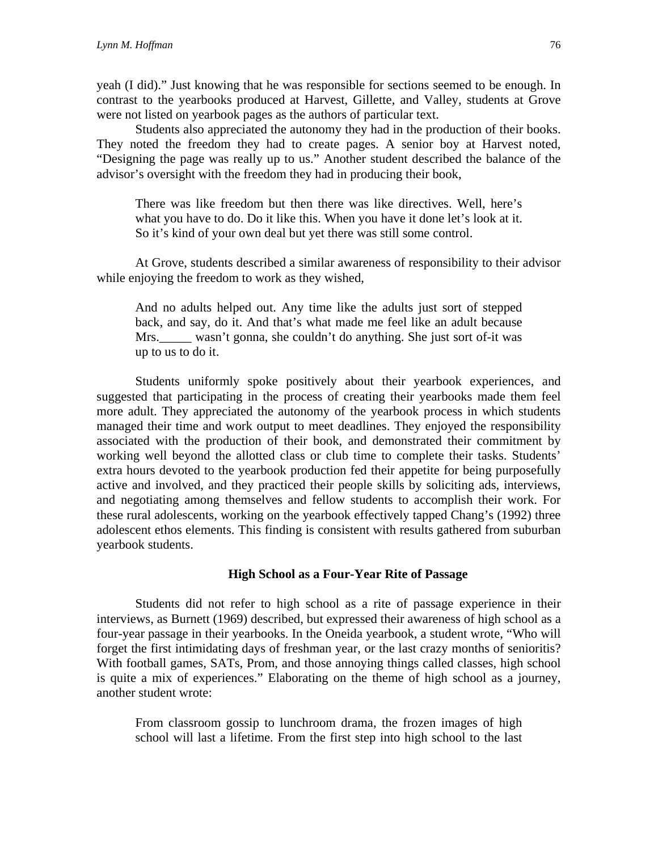yeah (I did)." Just knowing that he was responsible for sections seemed to be enough. In contrast to the yearbooks produced at Harvest, Gillette, and Valley, students at Grove were not listed on yearbook pages as the authors of particular text.

Students also appreciated the autonomy they had in the production of their books. They noted the freedom they had to create pages. A senior boy at Harvest noted, "Designing the page was really up to us." Another student described the balance of the advisor's oversight with the freedom they had in producing their book,

There was like freedom but then there was like directives. Well, here's what you have to do. Do it like this. When you have it done let's look at it. So it's kind of your own deal but yet there was still some control.

At Grove, students described a similar awareness of responsibility to their advisor while enjoying the freedom to work as they wished,

And no adults helped out. Any time like the adults just sort of stepped back, and say, do it. And that's what made me feel like an adult because Mrs. wasn't gonna, she couldn't do anything. She just sort of-it was up to us to do it.

Students uniformly spoke positively about their yearbook experiences, and suggested that participating in the process of creating their yearbooks made them feel more adult. They appreciated the autonomy of the yearbook process in which students managed their time and work output to meet deadlines. They enjoyed the responsibility associated with the production of their book, and demonstrated their commitment by working well beyond the allotted class or club time to complete their tasks. Students' extra hours devoted to the yearbook production fed their appetite for being purposefully active and involved, and they practiced their people skills by soliciting ads, interviews, and negotiating among themselves and fellow students to accomplish their work. For these rural adolescents, working on the yearbook effectively tapped Chang's (1992) three adolescent ethos elements. This finding is consistent with results gathered from suburban yearbook students.

## **High School as a Four-Year Rite of Passage**

Students did not refer to high school as a rite of passage experience in their interviews, as Burnett (1969) described, but expressed their awareness of high school as a four-year passage in their yearbooks. In the Oneida yearbook, a student wrote, "Who will forget the first intimidating days of freshman year, or the last crazy months of senioritis? With football games, SATs, Prom, and those annoying things called classes, high school is quite a mix of experiences." Elaborating on the theme of high school as a journey, another student wrote:

From classroom gossip to lunchroom drama, the frozen images of high school will last a lifetime. From the first step into high school to the last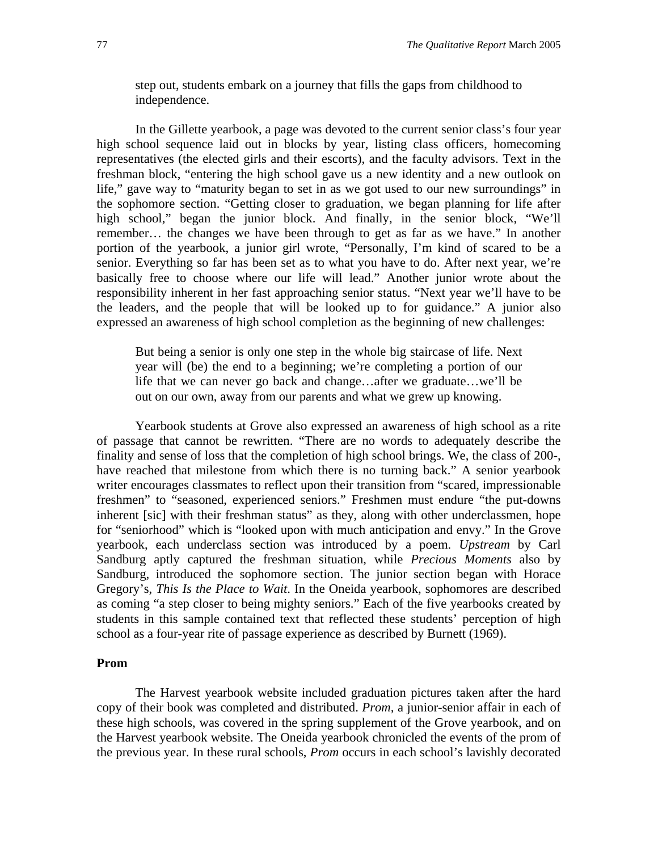step out, students embark on a journey that fills the gaps from childhood to independence.

In the Gillette yearbook, a page was devoted to the current senior class's four year high school sequence laid out in blocks by year, listing class officers, homecoming representatives (the elected girls and their escorts), and the faculty advisors. Text in the freshman block, "entering the high school gave us a new identity and a new outlook on life," gave way to "maturity began to set in as we got used to our new surroundings" in the sophomore section. "Getting closer to graduation, we began planning for life after high school," began the junior block. And finally, in the senior block, "We'll remember… the changes we have been through to get as far as we have." In another portion of the yearbook, a junior girl wrote, "Personally, I'm kind of scared to be a senior. Everything so far has been set as to what you have to do. After next year, we're basically free to choose where our life will lead." Another junior wrote about the responsibility inherent in her fast approaching senior status. "Next year we'll have to be the leaders, and the people that will be looked up to for guidance." A junior also expressed an awareness of high school completion as the beginning of new challenges:

But being a senior is only one step in the whole big staircase of life. Next year will (be) the end to a beginning; we're completing a portion of our life that we can never go back and change…after we graduate…we'll be out on our own, away from our parents and what we grew up knowing.

Yearbook students at Grove also expressed an awareness of high school as a rite of passage that cannot be rewritten. "There are no words to adequately describe the finality and sense of loss that the completion of high school brings. We, the class of 200-, have reached that milestone from which there is no turning back." A senior yearbook writer encourages classmates to reflect upon their transition from "scared, impressionable freshmen" to "seasoned, experienced seniors." Freshmen must endure "the put-downs inherent [sic] with their freshman status" as they, along with other underclassmen, hope for "seniorhood" which is "looked upon with much anticipation and envy." In the Grove yearbook, each underclass section was introduced by a poem. *Upstream* by Carl Sandburg aptly captured the freshman situation, while *Precious Moments* also by Sandburg, introduced the sophomore section. The junior section began with Horace Gregory's, *This Is the Place to Wait*. In the Oneida yearbook, sophomores are described as coming "a step closer to being mighty seniors." Each of the five yearbooks created by students in this sample contained text that reflected these students' perception of high school as a four-year rite of passage experience as described by Burnett (1969).

## **Prom**

The Harvest yearbook website included graduation pictures taken after the hard copy of their book was completed and distributed. *Prom,* a junior-senior affair in each of these high schools, was covered in the spring supplement of the Grove yearbook, and on the Harvest yearbook website. The Oneida yearbook chronicled the events of the prom of the previous year. In these rural schools, *Prom* occurs in each school's lavishly decorated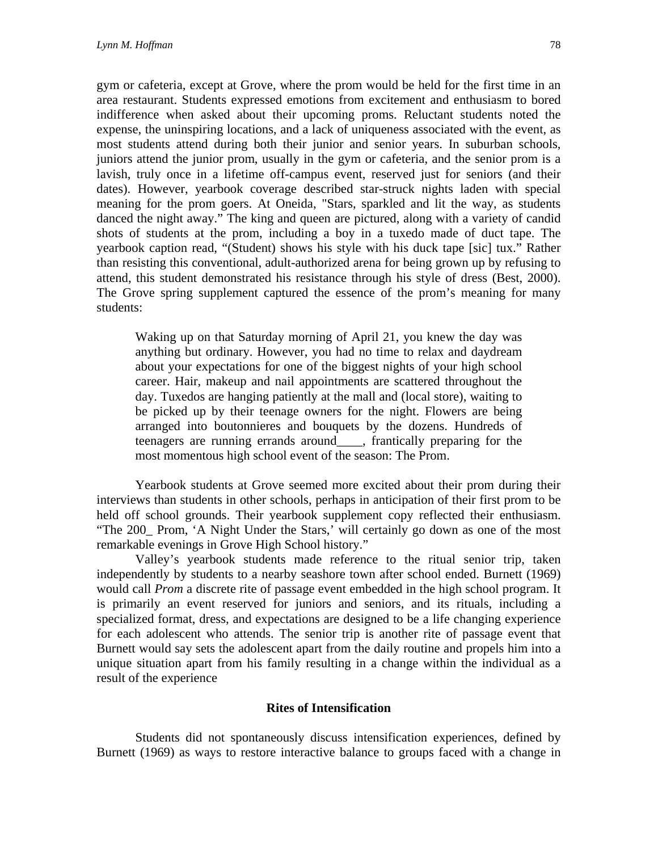gym or cafeteria, except at Grove, where the prom would be held for the first time in an area restaurant. Students expressed emotions from excitement and enthusiasm to bored indifference when asked about their upcoming proms. Reluctant students noted the expense, the uninspiring locations, and a lack of uniqueness associated with the event, as most students attend during both their junior and senior years. In suburban schools, juniors attend the junior prom, usually in the gym or cafeteria, and the senior prom is a lavish, truly once in a lifetime off-campus event, reserved just for seniors (and their dates). However, yearbook coverage described star-struck nights laden with special meaning for the prom goers. At Oneida, "Stars, sparkled and lit the way, as students danced the night away." The king and queen are pictured, along with a variety of candid shots of students at the prom, including a boy in a tuxedo made of duct tape. The yearbook caption read, "(Student) shows his style with his duck tape [sic] tux." Rather than resisting this conventional, adult-authorized arena for being grown up by refusing to attend, this student demonstrated his resistance through his style of dress (Best, 2000). The Grove spring supplement captured the essence of the prom's meaning for many students:

Waking up on that Saturday morning of April 21, you knew the day was anything but ordinary. However, you had no time to relax and daydream about your expectations for one of the biggest nights of your high school career. Hair, makeup and nail appointments are scattered throughout the day. Tuxedos are hanging patiently at the mall and (local store), waiting to be picked up by their teenage owners for the night. Flowers are being arranged into boutonnieres and bouquets by the dozens. Hundreds of teenagers are running errands around\_\_\_\_, frantically preparing for the most momentous high school event of the season: The Prom.

Yearbook students at Grove seemed more excited about their prom during their interviews than students in other schools, perhaps in anticipation of their first prom to be held off school grounds. Their yearbook supplement copy reflected their enthusiasm. "The 200\_ Prom, 'A Night Under the Stars,' will certainly go down as one of the most remarkable evenings in Grove High School history."

Valley's yearbook students made reference to the ritual senior trip, taken independently by students to a nearby seashore town after school ended. Burnett (1969) would call *Prom* a discrete rite of passage event embedded in the high school program. It is primarily an event reserved for juniors and seniors, and its rituals, including a specialized format, dress, and expectations are designed to be a life changing experience for each adolescent who attends. The senior trip is another rite of passage event that Burnett would say sets the adolescent apart from the daily routine and propels him into a unique situation apart from his family resulting in a change within the individual as a result of the experience

## **Rites of Intensification**

Students did not spontaneously discuss intensification experiences, defined by Burnett (1969) as ways to restore interactive balance to groups faced with a change in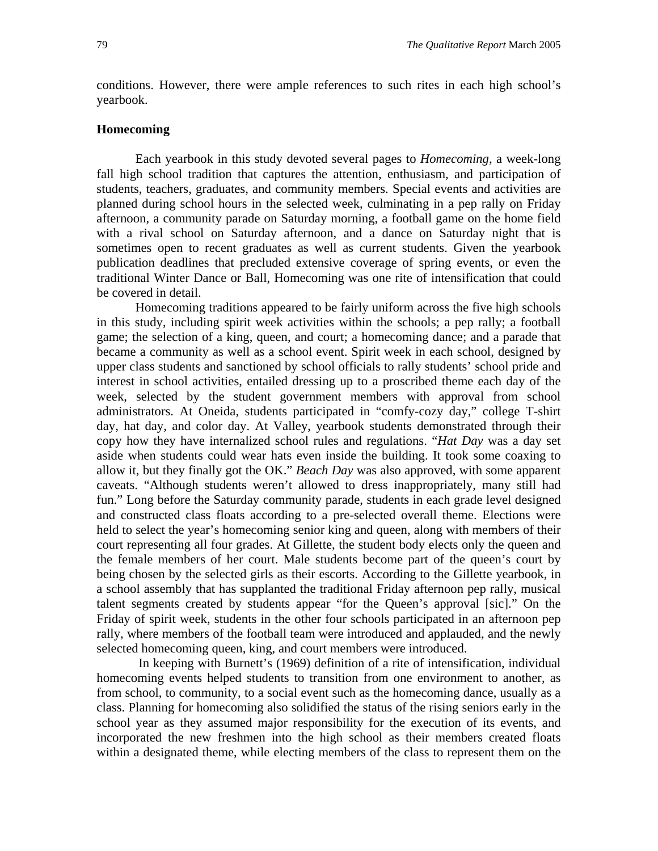conditions. However, there were ample references to such rites in each high school's yearbook.

## **Homecoming**

Each yearbook in this study devoted several pages to *Homecoming*, a week-long fall high school tradition that captures the attention, enthusiasm, and participation of students, teachers, graduates, and community members. Special events and activities are planned during school hours in the selected week, culminating in a pep rally on Friday afternoon, a community parade on Saturday morning, a football game on the home field with a rival school on Saturday afternoon, and a dance on Saturday night that is sometimes open to recent graduates as well as current students. Given the yearbook publication deadlines that precluded extensive coverage of spring events, or even the traditional Winter Dance or Ball, Homecoming was one rite of intensification that could be covered in detail.

Homecoming traditions appeared to be fairly uniform across the five high schools in this study, including spirit week activities within the schools; a pep rally; a football game; the selection of a king, queen, and court; a homecoming dance; and a parade that became a community as well as a school event. Spirit week in each school, designed by upper class students and sanctioned by school officials to rally students' school pride and interest in school activities, entailed dressing up to a proscribed theme each day of the week, selected by the student government members with approval from school administrators. At Oneida, students participated in "comfy-cozy day," college T-shirt day, hat day, and color day. At Valley, yearbook students demonstrated through their copy how they have internalized school rules and regulations. "*Hat Day* was a day set aside when students could wear hats even inside the building. It took some coaxing to allow it, but they finally got the OK." *Beach Day* was also approved, with some apparent caveats. "Although students weren't allowed to dress inappropriately, many still had fun." Long before the Saturday community parade, students in each grade level designed and constructed class floats according to a pre-selected overall theme. Elections were held to select the year's homecoming senior king and queen, along with members of their court representing all four grades. At Gillette, the student body elects only the queen and the female members of her court. Male students become part of the queen's court by being chosen by the selected girls as their escorts. According to the Gillette yearbook, in a school assembly that has supplanted the traditional Friday afternoon pep rally, musical talent segments created by students appear "for the Queen's approval [sic]." On the Friday of spirit week, students in the other four schools participated in an afternoon pep rally, where members of the football team were introduced and applauded, and the newly selected homecoming queen, king, and court members were introduced.

In keeping with Burnett's (1969) definition of a rite of intensification, individual homecoming events helped students to transition from one environment to another, as from school, to community, to a social event such as the homecoming dance, usually as a class. Planning for homecoming also solidified the status of the rising seniors early in the school year as they assumed major responsibility for the execution of its events, and incorporated the new freshmen into the high school as their members created floats within a designated theme, while electing members of the class to represent them on the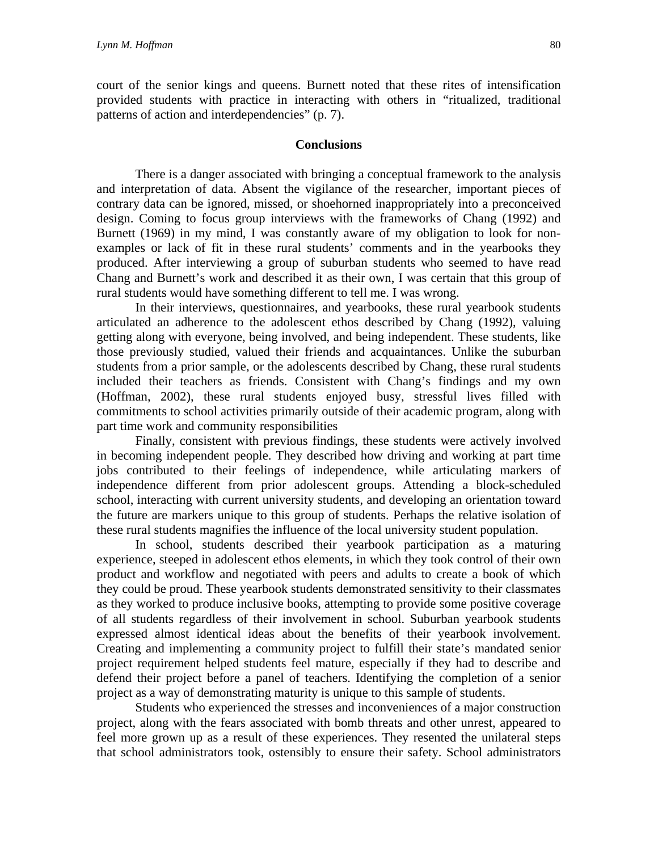court of the senior kings and queens. Burnett noted that these rites of intensification provided students with practice in interacting with others in "ritualized, traditional patterns of action and interdependencies" (p. 7).

## **Conclusions**

There is a danger associated with bringing a conceptual framework to the analysis and interpretation of data. Absent the vigilance of the researcher, important pieces of contrary data can be ignored, missed, or shoehorned inappropriately into a preconceived design. Coming to focus group interviews with the frameworks of Chang (1992) and Burnett (1969) in my mind, I was constantly aware of my obligation to look for nonexamples or lack of fit in these rural students' comments and in the yearbooks they produced. After interviewing a group of suburban students who seemed to have read Chang and Burnett's work and described it as their own, I was certain that this group of rural students would have something different to tell me. I was wrong.

In their interviews, questionnaires, and yearbooks, these rural yearbook students articulated an adherence to the adolescent ethos described by Chang (1992), valuing getting along with everyone, being involved, and being independent. These students, like those previously studied, valued their friends and acquaintances. Unlike the suburban students from a prior sample, or the adolescents described by Chang, these rural students included their teachers as friends. Consistent with Chang's findings and my own (Hoffman, 2002), these rural students enjoyed busy, stressful lives filled with commitments to school activities primarily outside of their academic program, along with part time work and community responsibilities

Finally, consistent with previous findings, these students were actively involved in becoming independent people. They described how driving and working at part time jobs contributed to their feelings of independence, while articulating markers of independence different from prior adolescent groups. Attending a block-scheduled school, interacting with current university students, and developing an orientation toward the future are markers unique to this group of students. Perhaps the relative isolation of these rural students magnifies the influence of the local university student population.

In school, students described their yearbook participation as a maturing experience, steeped in adolescent ethos elements, in which they took control of their own product and workflow and negotiated with peers and adults to create a book of which they could be proud. These yearbook students demonstrated sensitivity to their classmates as they worked to produce inclusive books, attempting to provide some positive coverage of all students regardless of their involvement in school. Suburban yearbook students expressed almost identical ideas about the benefits of their yearbook involvement. Creating and implementing a community project to fulfill their state's mandated senior project requirement helped students feel mature, especially if they had to describe and defend their project before a panel of teachers. Identifying the completion of a senior project as a way of demonstrating maturity is unique to this sample of students.

Students who experienced the stresses and inconveniences of a major construction project, along with the fears associated with bomb threats and other unrest, appeared to feel more grown up as a result of these experiences. They resented the unilateral steps that school administrators took, ostensibly to ensure their safety. School administrators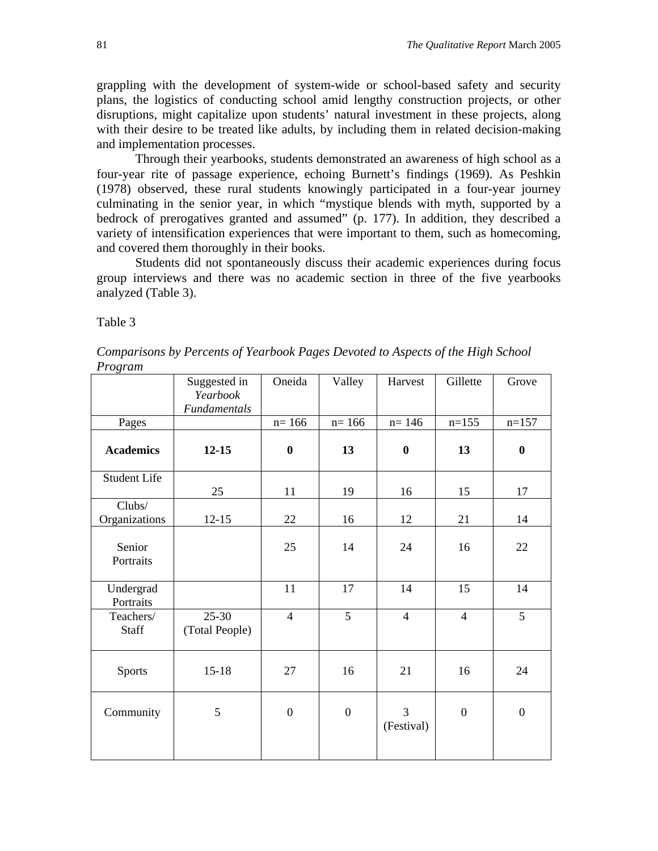grappling with the development of system-wide or school-based safety and security plans, the logistics of conducting school amid lengthy construction projects, or other disruptions, might capitalize upon students' natural investment in these projects, along with their desire to be treated like adults, by including them in related decision-making and implementation processes.

Through their yearbooks, students demonstrated an awareness of high school as a four-year rite of passage experience, echoing Burnett's findings (1969). As Peshkin (1978) observed, these rural students knowingly participated in a four-year journey culminating in the senior year, in which "mystique blends with myth, supported by a bedrock of prerogatives granted and assumed" (p. 177). In addition, they described a variety of intensification experiences that were important to them, such as homecoming, and covered them thoroughly in their books.

Students did not spontaneously discuss their academic experiences during focus group interviews and there was no academic section in three of the five yearbooks analyzed (Table 3).

Table 3

*Comparisons by Percents of Yearbook Pages Devoted to Aspects of the High School Program* 

|                           | Suggested in<br>Yearbook<br>Fundamentals | Oneida           | Valley           | Harvest          | Gillette         | Grove            |
|---------------------------|------------------------------------------|------------------|------------------|------------------|------------------|------------------|
| Pages                     |                                          | $n = 166$        | $n = 166$        | $n = 146$        | $n=155$          | $n=157$          |
| <b>Academics</b>          | $12 - 15$                                | $\boldsymbol{0}$ | 13               | $\boldsymbol{0}$ | 13               | $\boldsymbol{0}$ |
| <b>Student Life</b>       | 25                                       | 11               | 19               | 16               | 15               | 17               |
| Clubs/<br>Organizations   | $12 - 15$                                | 22               | 16               | 12               | 21               | 14               |
| Senior<br>Portraits       |                                          | 25               | 14               | 24               | 16               | 22               |
| Undergrad<br>Portraits    |                                          | 11               | 17               | 14               | 15               | 14               |
| Teachers/<br><b>Staff</b> | $25 - 30$<br>(Total People)              | $\overline{4}$   | 5                | $\overline{4}$   | $\overline{4}$   | 5                |
| Sports                    | $15 - 18$                                | $27\,$           | 16               | 21               | 16               | 24               |
| Community                 | 5                                        | $\boldsymbol{0}$ | $\boldsymbol{0}$ | 3<br>(Festival)  | $\boldsymbol{0}$ | $\boldsymbol{0}$ |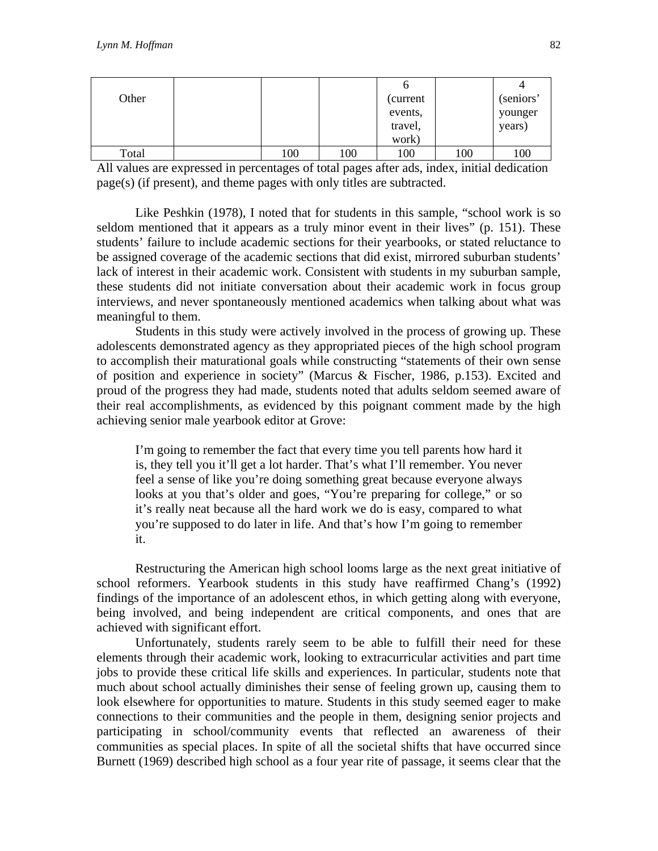| Other |     |     | (current) |     | (seniors' |
|-------|-----|-----|-----------|-----|-----------|
|       |     |     | events,   |     | younger   |
|       |     |     | travel,   |     | years)    |
|       |     |     | work)     |     |           |
| Total | 100 | 100 | 100       | 100 | 100       |

All values are expressed in percentages of total pages after ads, index, initial dedication page(s) (if present), and theme pages with only titles are subtracted.

Like Peshkin (1978), I noted that for students in this sample, "school work is so seldom mentioned that it appears as a truly minor event in their lives" (p. 151). These students' failure to include academic sections for their yearbooks, or stated reluctance to be assigned coverage of the academic sections that did exist, mirrored suburban students' lack of interest in their academic work. Consistent with students in my suburban sample, these students did not initiate conversation about their academic work in focus group interviews, and never spontaneously mentioned academics when talking about what was meaningful to them.

Students in this study were actively involved in the process of growing up. These adolescents demonstrated agency as they appropriated pieces of the high school program to accomplish their maturational goals while constructing "statements of their own sense of position and experience in society" (Marcus & Fischer, 1986, p.153). Excited and proud of the progress they had made, students noted that adults seldom seemed aware of their real accomplishments, as evidenced by this poignant comment made by the high achieving senior male yearbook editor at Grove:

I'm going to remember the fact that every time you tell parents how hard it is, they tell you it'll get a lot harder. That's what I'll remember. You never feel a sense of like you're doing something great because everyone always looks at you that's older and goes, "You're preparing for college," or so it's really neat because all the hard work we do is easy, compared to what you're supposed to do later in life. And that's how I'm going to remember it.

Restructuring the American high school looms large as the next great initiative of school reformers. Yearbook students in this study have reaffirmed Chang's (1992) findings of the importance of an adolescent ethos, in which getting along with everyone, being involved, and being independent are critical components, and ones that are achieved with significant effort.

Unfortunately, students rarely seem to be able to fulfill their need for these elements through their academic work, looking to extracurricular activities and part time jobs to provide these critical life skills and experiences. In particular, students note that much about school actually diminishes their sense of feeling grown up, causing them to look elsewhere for opportunities to mature. Students in this study seemed eager to make connections to their communities and the people in them, designing senior projects and participating in school/community events that reflected an awareness of their communities as special places. In spite of all the societal shifts that have occurred since Burnett (1969) described high school as a four year rite of passage, it seems clear that the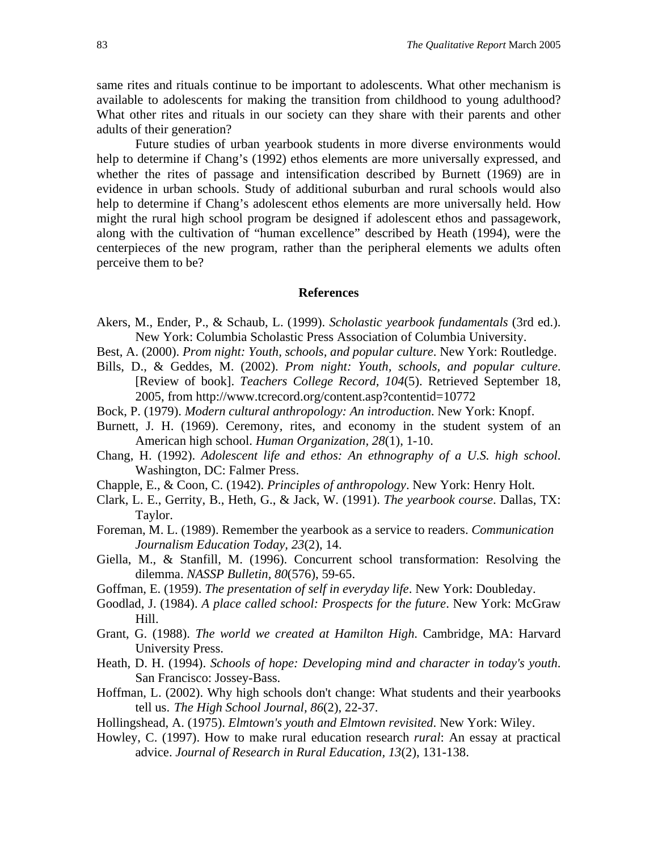same rites and rituals continue to be important to adolescents. What other mechanism is available to adolescents for making the transition from childhood to young adulthood? What other rites and rituals in our society can they share with their parents and other adults of their generation?

Future studies of urban yearbook students in more diverse environments would help to determine if Chang's (1992) ethos elements are more universally expressed, and whether the rites of passage and intensification described by Burnett (1969) are in evidence in urban schools. Study of additional suburban and rural schools would also help to determine if Chang's adolescent ethos elements are more universally held. How might the rural high school program be designed if adolescent ethos and passagework, along with the cultivation of "human excellence" described by Heath (1994), were the centerpieces of the new program, rather than the peripheral elements we adults often perceive them to be?

#### **References**

- Akers, M., Ender, P., & Schaub, L. (1999). *Scholastic yearbook fundamentals* (3rd ed.). New York: Columbia Scholastic Press Association of Columbia University.
- Best, A. (2000). *Prom night: Youth, schools, and popular culture*. New York: Routledge.
- Bills, D., & Geddes, M. (2002). *Prom night: Youth, schools, and popular culture*. [Review of book]. *Teachers College Record, 104*(5). Retrieved September 18, 2005, from http://www.tcrecord.org/content.asp?contentid=10772
- Bock, P. (1979). *Modern cultural anthropology: An introduction*. New York: Knopf.
- Burnett, J. H. (1969). Ceremony, rites, and economy in the student system of an American high school. *Human Organization, 28*(1), 1-10.
- Chang, H. (1992). *Adolescent life and ethos: An ethnography of a U.S. high school*. Washington, DC: Falmer Press.
- Chapple, E., & Coon, C. (1942). *Principles of anthropology*. New York: Henry Holt.
- Clark, L. E., Gerrity, B., Heth, G., & Jack, W. (1991). *The yearbook course*. Dallas, TX: Taylor.
- Foreman, M. L. (1989). Remember the yearbook as a service to readers. *Communication Journalism Education Today, 23*(2), 14.
- Giella, M., & Stanfill, M. (1996). Concurrent school transformation: Resolving the dilemma. *NASSP Bulletin, 80*(576), 59-65.
- Goffman, E. (1959). *The presentation of self in everyday life*. New York: Doubleday.
- Goodlad, J. (1984). *A place called school: Prospects for the future*. New York: McGraw Hill.
- Grant, G. (1988). *The world we created at Hamilton High*. Cambridge, MA: Harvard University Press.
- Heath, D. H. (1994). *Schools of hope: Developing mind and character in today's youth*. San Francisco: Jossey-Bass.
- Hoffman, L. (2002). Why high schools don't change: What students and their yearbooks tell us. *The High School Journal, 86*(2), 22-37.
- Hollingshead, A. (1975). *Elmtown's youth and Elmtown revisited*. New York: Wiley.
- Howley, C. (1997). How to make rural education research *rural*: An essay at practical advice. *Journal of Research in Rural Education, 13*(2), 131-138.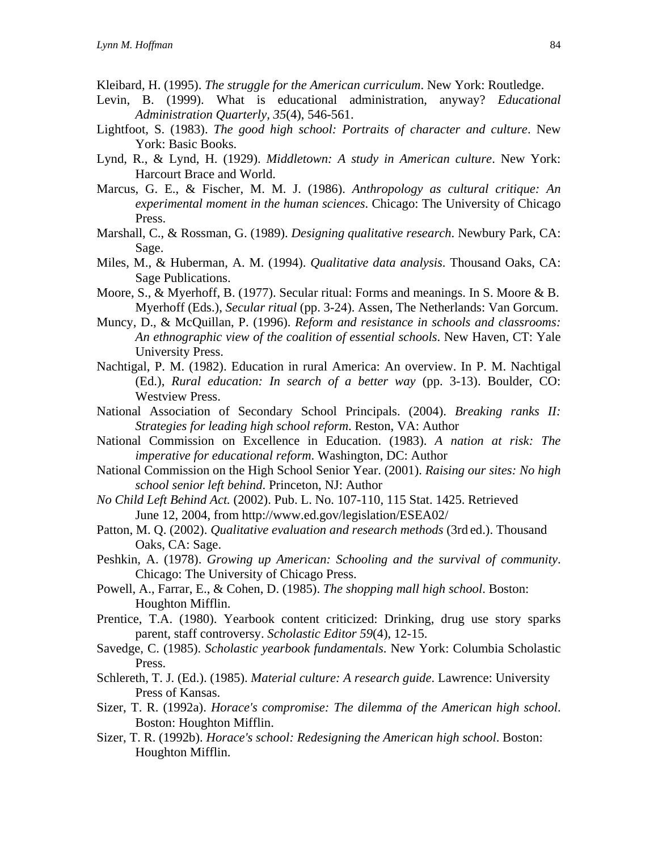- Kleibard, H. (1995). *The struggle for the American curriculum*. New York: Routledge.
- Levin, B. (1999). What is educational administration, anyway? *Educational Administration Quarterly, 35*(4), 546-561.
- Lightfoot, S. (1983). *The good high school: Portraits of character and culture*. New York: Basic Books.
- Lynd, R., & Lynd, H. (1929). *Middletown: A study in American culture*. New York: Harcourt Brace and World.
- Marcus, G. E., & Fischer, M. M. J. (1986). *Anthropology as cultural critique: An experimental moment in the human sciences*. Chicago: The University of Chicago Press.
- Marshall, C., & Rossman, G. (1989). *Designing qualitative research*. Newbury Park, CA: Sage.
- Miles, M., & Huberman, A. M. (1994). *Qualitative data analysis*. Thousand Oaks, CA: Sage Publications.
- Moore, S., & Myerhoff, B. (1977). Secular ritual: Forms and meanings. In S. Moore & B. Myerhoff (Eds.), *Secular ritual* (pp. 3-24). Assen, The Netherlands: Van Gorcum.
- Muncy, D., & McQuillan, P. (1996). *Reform and resistance in schools and classrooms: An ethnographic view of the coalition of essential schools*. New Haven, CT: Yale University Press.
- Nachtigal, P. M. (1982). Education in rural America: An overview. In P. M. Nachtigal (Ed.), *Rural education: In search of a better way* (pp. 3-13). Boulder, CO: Westview Press.
- National Association of Secondary School Principals. (2004). *Breaking ranks II: Strategies for leading high school reform*. Reston, VA: Author
- National Commission on Excellence in Education. (1983). *A nation at risk: The imperative for educational reform*. Washington, DC: Author
- National Commission on the High School Senior Year. (2001). *Raising our sites: No high school senior left behind*. Princeton, NJ: Author
- *No Child Left Behind Act.* (2002). Pub. L. No. 107-110, 115 Stat. 1425. Retrieved June 12, 2004, from http://www.ed.gov/legislation/ESEA02/
- Patton, M. Q. (2002). *Qualitative evaluation and research methods* (3rd ed.). Thousand Oaks, CA: Sage.
- Peshkin, A. (1978). *Growing up American: Schooling and the survival of community*. Chicago: The University of Chicago Press.
- Powell, A., Farrar, E., & Cohen, D. (1985). *The shopping mall high school*. Boston: Houghton Mifflin.
- Prentice, T.A. (1980). Yearbook content criticized: Drinking, drug use story sparks parent, staff controversy. *Scholastic Editor 59*(4), 12-15.
- Savedge, C. (1985). *Scholastic yearbook fundamentals*. New York: Columbia Scholastic Press.
- Schlereth, T. J. (Ed.). (1985). *Material culture: A research guide*. Lawrence: University Press of Kansas.
- Sizer, T. R. (1992a). *Horace's compromise: The dilemma of the American high school*. Boston: Houghton Mifflin.
- Sizer, T. R. (1992b). *Horace's school: Redesigning the American high school*. Boston: Houghton Mifflin.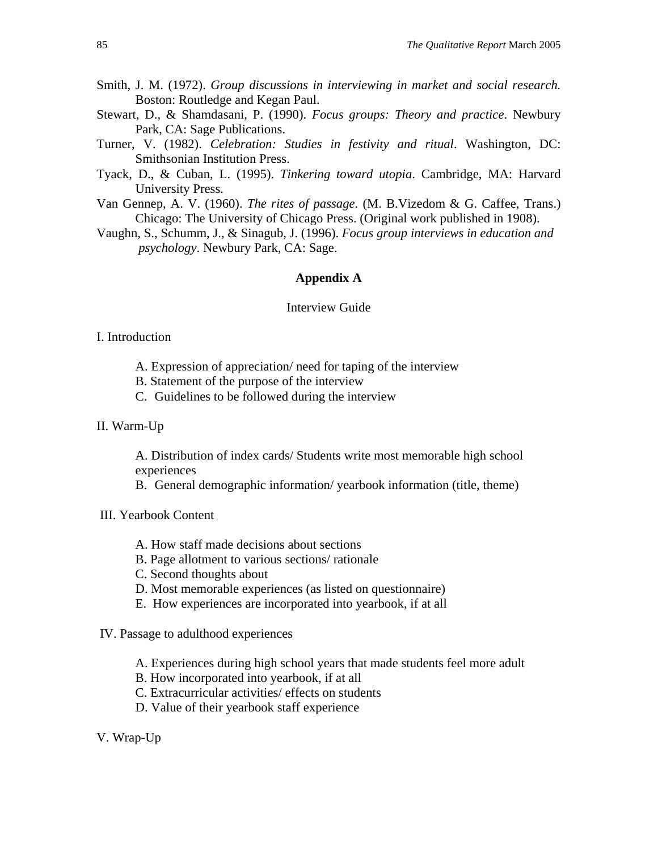- Smith, J. M. (1972). *Group discussions in interviewing in market and social research.* Boston: Routledge and Kegan Paul.
- Stewart, D., & Shamdasani, P. (1990). *Focus groups: Theory and practice*. Newbury Park, CA: Sage Publications.
- Turner, V. (1982). *Celebration: Studies in festivity and ritual*. Washington, DC: Smithsonian Institution Press.
- Tyack, D., & Cuban, L. (1995). *Tinkering toward utopia*. Cambridge, MA: Harvard University Press.
- Van Gennep, A. V. (1960). *The rites of passage*. (M. B.Vizedom & G. Caffee, Trans.) Chicago: The University of Chicago Press. (Original work published in 1908).
- Vaughn, S., Schumm, J., & Sinagub, J. (1996). *Focus group interviews in education and psychology*. Newbury Park, CA: Sage.

## **Appendix A**

## Interview Guide

## I. Introduction

- A. Expression of appreciation/ need for taping of the interview
- B. Statement of the purpose of the interview
- C. Guidelines to be followed during the interview
- II. Warm-Up

A. Distribution of index cards/ Students write most memorable high school experiences

B. General demographic information/ yearbook information (title, theme)

- III. Yearbook Content
	- A. How staff made decisions about sections
	- B. Page allotment to various sections/ rationale
	- C. Second thoughts about
	- D. Most memorable experiences (as listed on questionnaire)
	- E. How experiences are incorporated into yearbook, if at all
- IV. Passage to adulthood experiences
	- A. Experiences during high school years that made students feel more adult
	- B. How incorporated into yearbook, if at all
	- C. Extracurricular activities/ effects on students
	- D. Value of their yearbook staff experience

V. Wrap-Up